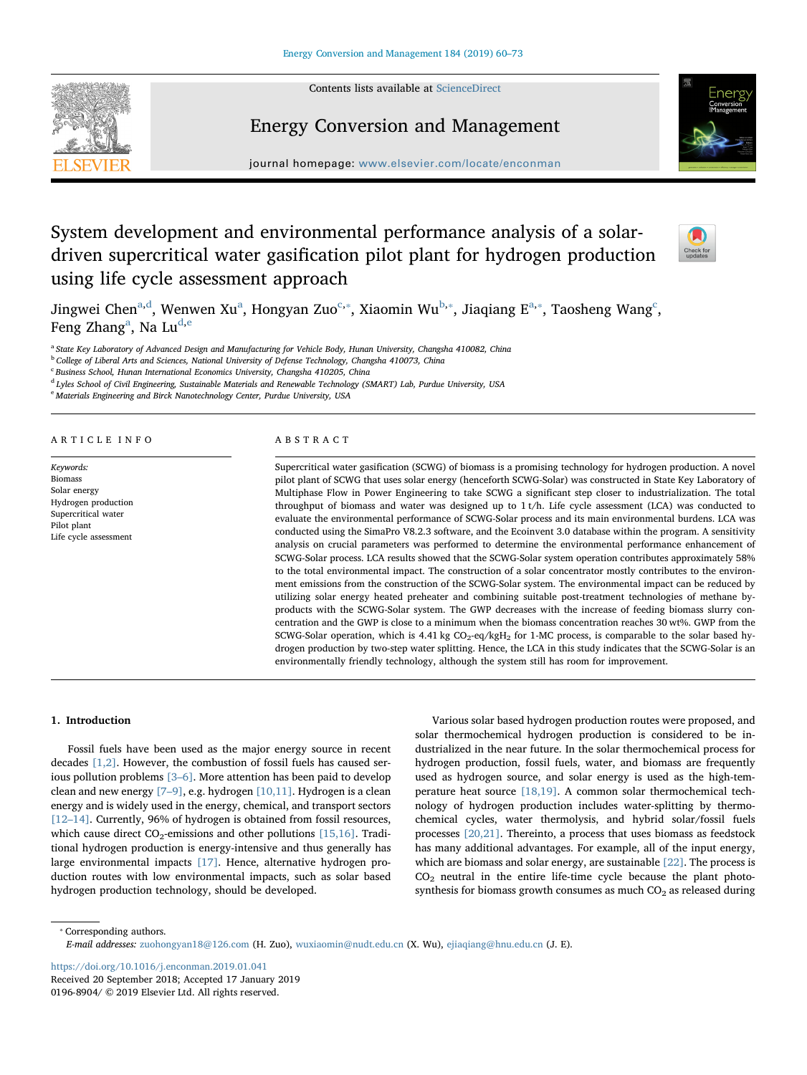Contents lists available at [ScienceDirect](http://www.sciencedirect.com/science/journal/01968904)

Energy Conversion and Management



journal homepage: [www.elsevier.com/locate/enconman](https://www.elsevier.com/locate/enconman)

# System development and environmental performance analysis of a solardriven supercritical water gasification pilot plant for hydrogen production using life cycle assessment approach



Jingwei Chen $^{\rm a,d}$  $^{\rm a,d}$  $^{\rm a,d}$  $^{\rm a,d}$ , Wenwen Xu $^{\rm a}$  $^{\rm a}$  $^{\rm a}$ , Hongyan Zuo $^{\rm c, *}$  $^{\rm c, *}$  $^{\rm c, *}$ , Xiaomin Wu $^{\rm b, *}$ , Jiaqiang E $^{\rm a, *}$ , Taosheng Wang $^{\rm c}$ , Feng Zh[a](#page-0-0)ng<sup>a</sup>, Na Lu<sup>[d,](#page-0-1)[e](#page-0-5)</sup>

<span id="page-0-0"></span><sup>a</sup> State Key Laboratory of Advanced Design and Manufacturing for Vehicle Body, Hunan University, Changsha 410082, China

<span id="page-0-4"></span><sup>b</sup> College of Liberal Arts and Sciences, National University of Defense Technology, Changsha 410073, China

<span id="page-0-2"></span><sup>c</sup> Business School, Hunan International Economics University, Changsha 410205, China

<span id="page-0-1"></span><sup>d</sup> Lyles School of Civil Engineering, Sustainable Materials and Renewable Technology (SMART) Lab, Purdue University, USA

<span id="page-0-5"></span><sup>e</sup> Materials Engineering and Birck Nanotechnology Center, Purdue University, USA

# ARTICLE INFO

Keywords: Biomass Solar energy Hydrogen production Supercritical water Pilot plant Life cycle assessment

### ABSTRACT

Supercritical water gasification (SCWG) of biomass is a promising technology for hydrogen production. A novel pilot plant of SCWG that uses solar energy (henceforth SCWG-Solar) was constructed in State Key Laboratory of Multiphase Flow in Power Engineering to take SCWG a significant step closer to industrialization. The total throughput of biomass and water was designed up to  $1 t/h$ . Life cycle assessment (LCA) was conducted to evaluate the environmental performance of SCWG-Solar process and its main environmental burdens. LCA was conducted using the SimaPro V8.2.3 software, and the Ecoinvent 3.0 database within the program. A sensitivity analysis on crucial parameters was performed to determine the environmental performance enhancement of SCWG-Solar process. LCA results showed that the SCWG-Solar system operation contributes approximately 58% to the total environmental impact. The construction of a solar concentrator mostly contributes to the environment emissions from the construction of the SCWG-Solar system. The environmental impact can be reduced by utilizing solar energy heated preheater and combining suitable post-treatment technologies of methane byproducts with the SCWG-Solar system. The GWP decreases with the increase of feeding biomass slurry concentration and the GWP is close to a minimum when the biomass concentration reaches 30 wt%. GWP from the SCWG-Solar operation, which is 4.41 kg CO<sub>2</sub>-eq/kgH<sub>2</sub> for 1-MC process, is comparable to the solar based hydrogen production by two-step water splitting. Hence, the LCA in this study indicates that the SCWG-Solar is an environmentally friendly technology, although the system still has room for improvement.

# 1. Introduction

Fossil fuels have been used as the major energy source in recent decades [\[1,2\]](#page-12-0). However, the combustion of fossil fuels has caused serious pollution problems [3–[6\].](#page-12-1) More attention has been paid to develop clean and new energy [\[7](#page-12-2)–9], e.g. hydrogen [\[10,11\].](#page-12-3) Hydrogen is a clean energy and is widely used in the energy, chemical, and transport sectors [12–[14\]](#page-12-4). Currently, 96% of hydrogen is obtained from fossil resources, which cause direct  $CO_2$ -emissions and other pollutions [\[15,16\]](#page-12-5). Traditional hydrogen production is energy-intensive and thus generally has large environmental impacts [\[17\]](#page-12-6). Hence, alternative hydrogen production routes with low environmental impacts, such as solar based hydrogen production technology, should be developed.

Various solar based hydrogen production routes were proposed, and solar thermochemical hydrogen production is considered to be industrialized in the near future. In the solar thermochemical process for hydrogen production, fossil fuels, water, and biomass are frequently used as hydrogen source, and solar energy is used as the high-temperature heat source [\[18,19\]](#page-12-7). A common solar thermochemical technology of hydrogen production includes water-splitting by thermochemical cycles, water thermolysis, and hybrid solar/fossil fuels processes [\[20,21\]](#page-12-8). Thereinto, a process that uses biomass as feedstock has many additional advantages. For example, all of the input energy, which are biomass and solar energy, are sustainable [\[22\]](#page-12-9). The process is  $CO<sub>2</sub>$  neutral in the entire life-time cycle because the plant photosynthesis for biomass growth consumes as much  $CO<sub>2</sub>$  as released during

<span id="page-0-3"></span>⁎ Corresponding authors.

<https://doi.org/10.1016/j.enconman.2019.01.041> Received 20 September 2018; Accepted 17 January 2019 0196-8904/ © 2019 Elsevier Ltd. All rights reserved.

E-mail addresses: [zuohongyan18@126.com](mailto:zuohongyan18@126.com) (H. Zuo), [wuxiaomin@nudt.edu.cn](mailto:wuxiaomin@nudt.edu.cn) (X. Wu), [ejiaqiang@hnu.edu.cn](mailto:ejiaqiang@hnu.edu.cn) (J. E).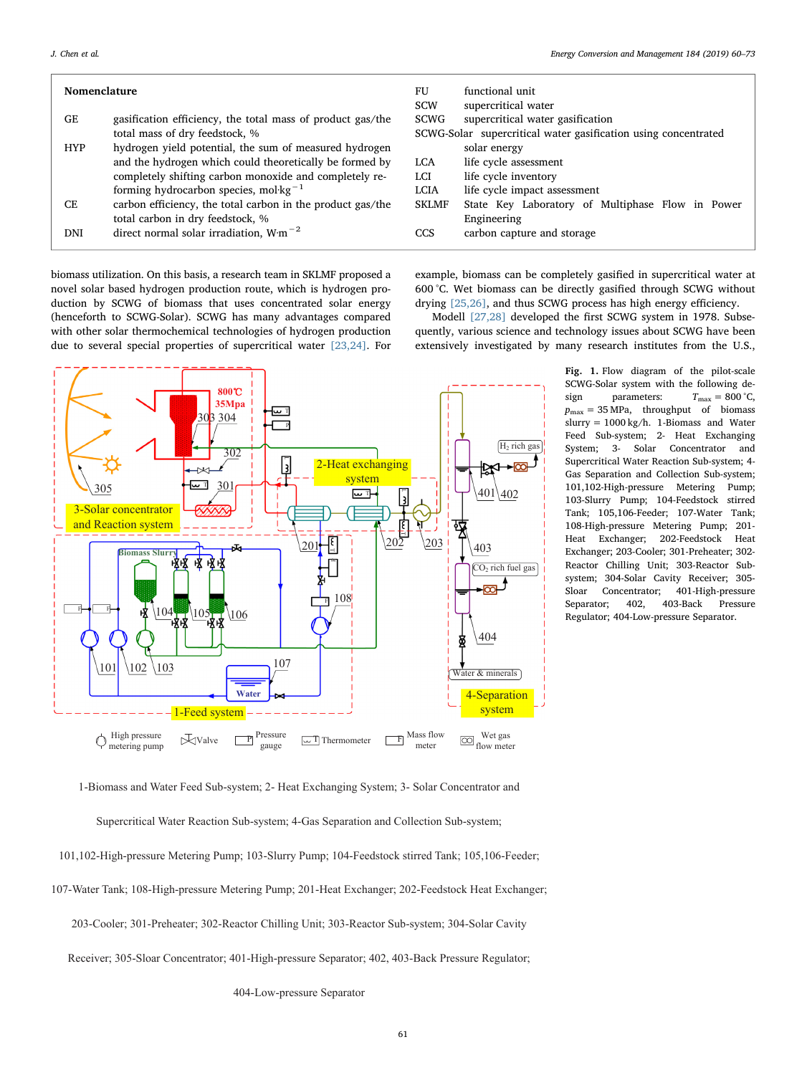| Nomenclature |                                                            | FU           | functional unit                                                |
|--------------|------------------------------------------------------------|--------------|----------------------------------------------------------------|
|              |                                                            | <b>SCW</b>   | supercritical water                                            |
| GE           | gasification efficiency, the total mass of product gas/the | SCWG         | supercritical water gasification                               |
|              | total mass of dry feedstock, %                             |              | SCWG-Solar supercritical water gasification using concentrated |
| <b>HYP</b>   | hydrogen yield potential, the sum of measured hydrogen     |              | solar energy                                                   |
|              | and the hydrogen which could theoretically be formed by    | <b>LCA</b>   | life cycle assessment                                          |
|              | completely shifting carbon monoxide and completely re-     | LCI          | life cycle inventory                                           |
|              | forming hydrocarbon species, mol $kg^{-1}$                 | <b>LCIA</b>  | life cycle impact assessment                                   |
| CE           | carbon efficiency, the total carbon in the product gas/the | <b>SKLMF</b> | State Key Laboratory of Multiphase Flow in Power               |
|              | total carbon in dry feedstock, %                           |              | Engineering                                                    |
| <b>DNI</b>   | direct normal solar irradiation, $Wm^{-2}$                 | CCS          | carbon capture and storage                                     |

biomass utilization. On this basis, a research team in SKLMF proposed a novel solar based hydrogen production route, which is hydrogen production by SCWG of biomass that uses concentrated solar energy (henceforth to SCWG-Solar). SCWG has many advantages compared with other solar thermochemical technologies of hydrogen production due to several special properties of supercritical water [\[23,24\].](#page-12-10) For

<span id="page-1-0"></span>

example, biomass can be completely gasified in supercritical water at 600 °C. Wet biomass can be directly gasified through SCWG without drying [\[25,26\]](#page-12-11), and thus SCWG process has high energy efficiency.

Modell [\[27,28\]](#page-12-12) developed the first SCWG system in 1978. Subsequently, various science and technology issues about SCWG have been extensively investigated by many research institutes from the U.S.,

> Fig. 1. Flow diagram of the pilot-scale SCWG-Solar system with the following design parameters:  $T_{\text{max}} = 800 \degree \text{C}$ ,  $p_{\text{max}} = 35 \text{ MPa}$ , throughput of biomass slurry =  $1000 \text{ kg/h}$ . 1-Biomass and Water Feed Sub-system; 2- Heat Exchanging System; 3- Solar Concentrator and Supercritical Water Reaction Sub-system; 4- Gas Separation and Collection Sub-system; 101,102-High-pressure Metering Pump; 103-Slurry Pump; 104-Feedstock stirred Tank; 105,106-Feeder; 107-Water Tank; 108-High-pressure Metering Pump; 201- Heat Exchanger; 202-Feedstock Heat Exchanger; 203-Cooler; 301-Preheater; 302- Reactor Chilling Unit; 303-Reactor Subsystem; 304-Solar Cavity Receiver; 305- Sloar Concentrator; 401-High-pressure Separator; 402, 403-Back Pressure Regulator; 404-Low-pressure Separator.

1-Biomass and Water Feed Sub-system; 2- Heat Exchanging System; 3- Solar Concentrator and

Supercritical Water Reaction Sub-system; 4-Gas Separation and Collection Sub-system; 101,102-High-pressure Metering Pump; 103-Slurry Pump; 104-Feedstock stirred Tank; 105,106-Feeder; 107-Water Tank; 108-High-pressure Metering Pump; 201-Heat Exchanger; 202-Feedstock Heat Exchanger;

203-Cooler; 301-Preheater; 302-Reactor Chilling Unit; 303-Reactor Sub-system; 304-Solar Cavity

Receiver; 305-Sloar Concentrator; 401-High-pressure Separator; 402, 403-Back Pressure Regulator;

404-Low-pressure Separator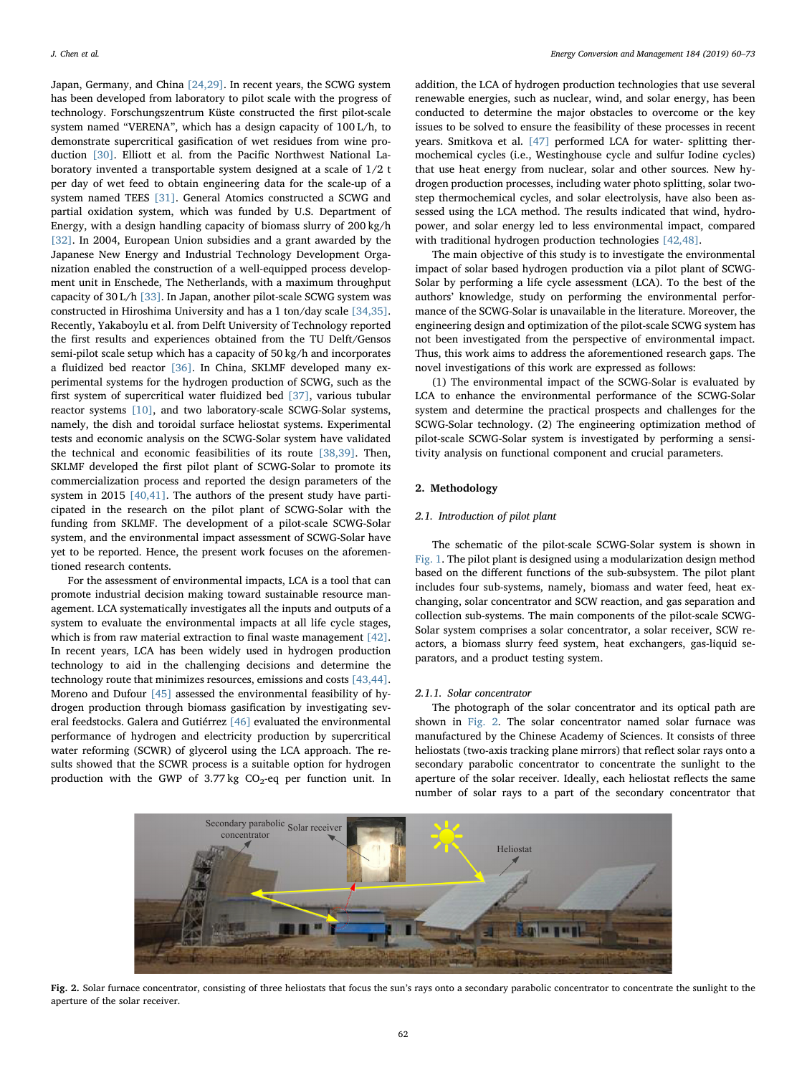Japan, Germany, and China [\[24,29\]](#page-12-13). In recent years, the SCWG system has been developed from laboratory to pilot scale with the progress of technology. Forschungszentrum Küste constructed the first pilot-scale system named "VERENA", which has a design capacity of 100 L/h, to demonstrate supercritical gasification of wet residues from wine production [\[30\]](#page-12-14). Elliott et al. from the Pacific Northwest National Laboratory invented a transportable system designed at a scale of 1/2 t per day of wet feed to obtain engineering data for the scale-up of a system named TEES [\[31\].](#page-12-15) General Atomics constructed a SCWG and partial oxidation system, which was funded by U.S. Department of Energy, with a design handling capacity of biomass slurry of 200 kg/h [\[32\]](#page-12-16). In 2004, European Union subsidies and a grant awarded by the Japanese New Energy and Industrial Technology Development Organization enabled the construction of a well-equipped process development unit in Enschede, The Netherlands, with a maximum throughput capacity of 30 L/h [\[33\].](#page-12-17) In Japan, another pilot-scale SCWG system was constructed in Hiroshima University and has a 1 ton/day scale [\[34,35\]](#page-12-18). Recently, Yakaboylu et al. from Delft University of Technology reported the first results and experiences obtained from the TU Delft/Gensos semi-pilot scale setup which has a capacity of 50 kg/h and incorporates a fluidized bed reactor [\[36\].](#page-12-19) In China, SKLMF developed many experimental systems for the hydrogen production of SCWG, such as the first system of supercritical water fluidized bed [\[37\]](#page-12-20), various tubular reactor systems [\[10\],](#page-12-3) and two laboratory-scale SCWG-Solar systems, namely, the dish and toroidal surface heliostat systems. Experimental tests and economic analysis on the SCWG-Solar system have validated the technical and economic feasibilities of its route [\[38,39\]](#page-12-21). Then, SKLMF developed the first pilot plant of SCWG-Solar to promote its commercialization process and reported the design parameters of the system in 2015 [\[40,41\].](#page-12-22) The authors of the present study have participated in the research on the pilot plant of SCWG-Solar with the funding from SKLMF. The development of a pilot-scale SCWG-Solar system, and the environmental impact assessment of SCWG-Solar have yet to be reported. Hence, the present work focuses on the aforementioned research contents.

For the assessment of environmental impacts, LCA is a tool that can promote industrial decision making toward sustainable resource management. LCA systematically investigates all the inputs and outputs of a system to evaluate the environmental impacts at all life cycle stages, which is from raw material extraction to final waste management [\[42\]](#page-12-23). In recent years, LCA has been widely used in hydrogen production technology to aid in the challenging decisions and determine the technology route that minimizes resources, emissions and costs [\[43,44\]](#page-12-24). Moreno and Dufour [\[45\]](#page-12-25) assessed the environmental feasibility of hydrogen production through biomass gasification by investigating several feedstocks. Galera and Gutiérrez [\[46\]](#page-12-26) evaluated the environmental performance of hydrogen and electricity production by supercritical water reforming (SCWR) of glycerol using the LCA approach. The results showed that the SCWR process is a suitable option for hydrogen production with the GWP of  $3.77 \text{ kg } CO_2$ -eq per function unit. In addition, the LCA of hydrogen production technologies that use several renewable energies, such as nuclear, wind, and solar energy, has been conducted to determine the major obstacles to overcome or the key issues to be solved to ensure the feasibility of these processes in recent years. Smitkova et al. [\[47\]](#page-12-27) performed LCA for water- splitting thermochemical cycles (i.e., Westinghouse cycle and sulfur Iodine cycles) that use heat energy from nuclear, solar and other sources. New hydrogen production processes, including water photo splitting, solar twostep thermochemical cycles, and solar electrolysis, have also been assessed using the LCA method. The results indicated that wind, hydropower, and solar energy led to less environmental impact, compared with traditional hydrogen production technologies [\[42,48\]](#page-12-23).

The main objective of this study is to investigate the environmental impact of solar based hydrogen production via a pilot plant of SCWG-Solar by performing a life cycle assessment (LCA). To the best of the authors' knowledge, study on performing the environmental performance of the SCWG-Solar is unavailable in the literature. Moreover, the engineering design and optimization of the pilot-scale SCWG system has not been investigated from the perspective of environmental impact. Thus, this work aims to address the aforementioned research gaps. The novel investigations of this work are expressed as follows:

(1) The environmental impact of the SCWG-Solar is evaluated by LCA to enhance the environmental performance of the SCWG-Solar system and determine the practical prospects and challenges for the SCWG-Solar technology. (2) The engineering optimization method of pilot-scale SCWG-Solar system is investigated by performing a sensitivity analysis on functional component and crucial parameters.

### 2. Methodology

# 2.1. Introduction of pilot plant

The schematic of the pilot-scale SCWG-Solar system is shown in [Fig. 1](#page-1-0). The pilot plant is designed using a modularization design method based on the different functions of the sub-subsystem. The pilot plant includes four sub-systems, namely, biomass and water feed, heat exchanging, solar concentrator and SCW reaction, and gas separation and collection sub-systems. The main components of the pilot-scale SCWG-Solar system comprises a solar concentrator, a solar receiver, SCW reactors, a biomass slurry feed system, heat exchangers, gas-liquid separators, and a product testing system.

# 2.1.1. Solar concentrator

The photograph of the solar concentrator and its optical path are shown in [Fig. 2.](#page-2-0) The solar concentrator named solar furnace was manufactured by the Chinese Academy of Sciences. It consists of three heliostats (two-axis tracking plane mirrors) that reflect solar rays onto a secondary parabolic concentrator to concentrate the sunlight to the aperture of the solar receiver. Ideally, each heliostat reflects the same number of solar rays to a part of the secondary concentrator that

<span id="page-2-0"></span>

Fig. 2. Solar furnace concentrator, consisting of three heliostats that focus the sun's rays onto a secondary parabolic concentrator to concentrate the sunlight to the aperture of the solar receiver.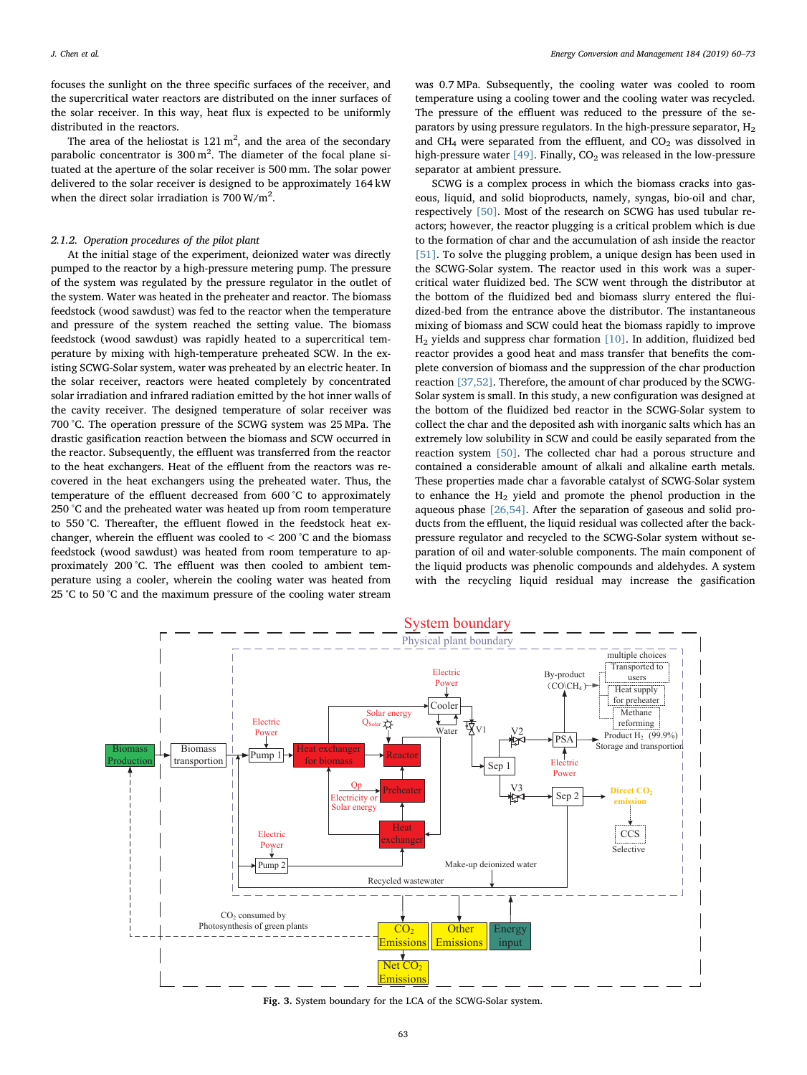focuses the sunlight on the three specific surfaces of the receiver, and the supercritical water reactors are distributed on the inner surfaces of the solar receiver. In this way, heat flux is expected to be uniformly distributed in the reactors.

The area of the heliostat is  $121 \text{ m}^2$ , and the area of the secondary parabolic concentrator is  $300 \text{ m}^2$ . The diameter of the focal plane situated at the aperture of the solar receiver is 500 mm. The solar power delivered to the solar receiver is designed to be approximately 164 kW when the direct solar irradiation is  $700 \,\mathrm{W/m}^2$ .

# <span id="page-3-1"></span>2.1.2. Operation procedures of the pilot plant

At the initial stage of the experiment, deionized water was directly pumped to the reactor by a high-pressure metering pump. The pressure of the system was regulated by the pressure regulator in the outlet of the system. Water was heated in the preheater and reactor. The biomass feedstock (wood sawdust) was fed to the reactor when the temperature and pressure of the system reached the setting value. The biomass feedstock (wood sawdust) was rapidly heated to a supercritical temperature by mixing with high-temperature preheated SCW. In the existing SCWG-Solar system, water was preheated by an electric heater. In the solar receiver, reactors were heated completely by concentrated solar irradiation and infrared radiation emitted by the hot inner walls of the cavity receiver. The designed temperature of solar receiver was 700 °C. The operation pressure of the SCWG system was 25 MPa. The drastic gasification reaction between the biomass and SCW occurred in the reactor. Subsequently, the effluent was transferred from the reactor to the heat exchangers. Heat of the effluent from the reactors was recovered in the heat exchangers using the preheated water. Thus, the temperature of the effluent decreased from 600 °C to approximately 250 °C and the preheated water was heated up from room temperature to 550 °C. Thereafter, the effluent flowed in the feedstock heat exchanger, wherein the effluent was cooled to  $< 200$  °C and the biomass feedstock (wood sawdust) was heated from room temperature to approximately 200 °C. The effluent was then cooled to ambient temperature using a cooler, wherein the cooling water was heated from 25 °C to 50 °C and the maximum pressure of the cooling water stream

was 0.7 MPa. Subsequently, the cooling water was cooled to room temperature using a cooling tower and the cooling water was recycled. The pressure of the effluent was reduced to the pressure of the separators by using pressure regulators. In the high-pressure separator,  $H_2$ and CH<sub>4</sub> were separated from the effluent, and CO<sub>2</sub> was dissolved in high-pressure water  $[49]$ . Finally,  $CO<sub>2</sub>$  was released in the low-pressure separator at ambient pressure.

SCWG is a complex process in which the biomass cracks into gaseous, liquid, and solid bioproducts, namely, syngas, bio-oil and char, respectively [\[50\]](#page-12-29). Most of the research on SCWG has used tubular reactors; however, the reactor plugging is a critical problem which is due to the formation of char and the accumulation of ash inside the reactor [\[51\]](#page-12-30). To solve the plugging problem, a unique design has been used in the SCWG-Solar system. The reactor used in this work was a supercritical water fluidized bed. The SCW went through the distributor at the bottom of the fluidized bed and biomass slurry entered the fluidized-bed from the entrance above the distributor. The instantaneous mixing of biomass and SCW could heat the biomass rapidly to improve  $H<sub>2</sub>$  yields and suppress char formation [\[10\].](#page-12-3) In addition, fluidized bed reactor provides a good heat and mass transfer that benefits the complete conversion of biomass and the suppression of the char production reaction [\[37,52\]](#page-12-20). Therefore, the amount of char produced by the SCWG-Solar system is small. In this study, a new configuration was designed at the bottom of the fluidized bed reactor in the SCWG-Solar system to collect the char and the deposited ash with inorganic salts which has an extremely low solubility in SCW and could be easily separated from the reaction system [\[50\].](#page-12-29) The collected char had a porous structure and contained a considerable amount of alkali and alkaline earth metals. These properties made char a favorable catalyst of SCWG-Solar system to enhance the  $H_2$  yield and promote the phenol production in the aqueous phase [\[26,54\]](#page-12-31). After the separation of gaseous and solid products from the effluent, the liquid residual was collected after the backpressure regulator and recycled to the SCWG-Solar system without separation of oil and water-soluble components. The main component of the liquid products was phenolic compounds and aldehydes. A system with the recycling liquid residual may increase the gasification

<span id="page-3-0"></span>

Fig. 3. System boundary for the LCA of the SCWG-Solar system.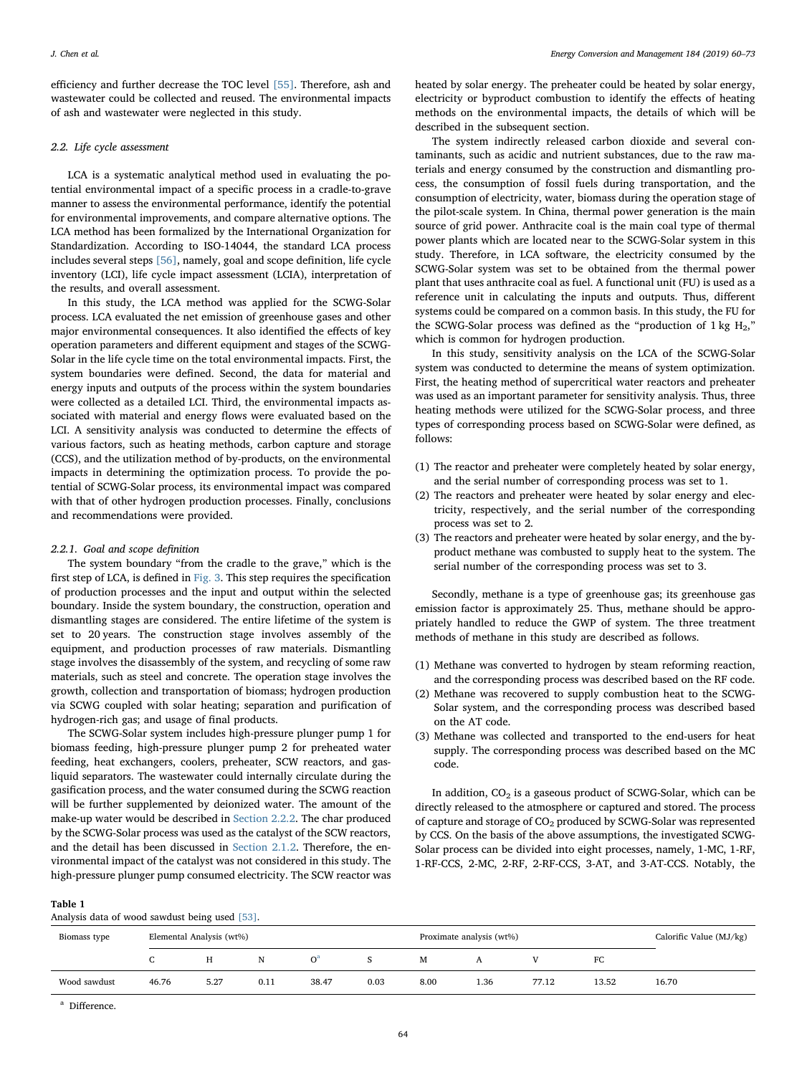efficiency and further decrease the TOC level [\[55\]](#page-13-0). Therefore, ash and wastewater could be collected and reused. The environmental impacts of ash and wastewater were neglected in this study.

#### 2.2. Life cycle assessment

LCA is a systematic analytical method used in evaluating the potential environmental impact of a specific process in a cradle-to-grave manner to assess the environmental performance, identify the potential for environmental improvements, and compare alternative options. The LCA method has been formalized by the International Organization for Standardization. According to ISO-14044, the standard LCA process includes several steps [\[56\],](#page-13-1) namely, goal and scope definition, life cycle inventory (LCI), life cycle impact assessment (LCIA), interpretation of the results, and overall assessment.

In this study, the LCA method was applied for the SCWG-Solar process. LCA evaluated the net emission of greenhouse gases and other major environmental consequences. It also identified the effects of key operation parameters and different equipment and stages of the SCWG-Solar in the life cycle time on the total environmental impacts. First, the system boundaries were defined. Second, the data for material and energy inputs and outputs of the process within the system boundaries were collected as a detailed LCI. Third, the environmental impacts associated with material and energy flows were evaluated based on the LCI. A sensitivity analysis was conducted to determine the effects of various factors, such as heating methods, carbon capture and storage (CCS), and the utilization method of by-products, on the environmental impacts in determining the optimization process. To provide the potential of SCWG-Solar process, its environmental impact was compared with that of other hydrogen production processes. Finally, conclusions and recommendations were provided.

# 2.2.1. Goal and scope definition

The system boundary "from the cradle to the grave," which is the first step of LCA, is defined in [Fig. 3.](#page-3-0) This step requires the specification of production processes and the input and output within the selected boundary. Inside the system boundary, the construction, operation and dismantling stages are considered. The entire lifetime of the system is set to 20 years. The construction stage involves assembly of the equipment, and production processes of raw materials. Dismantling stage involves the disassembly of the system, and recycling of some raw materials, such as steel and concrete. The operation stage involves the growth, collection and transportation of biomass; hydrogen production via SCWG coupled with solar heating; separation and purification of hydrogen-rich gas; and usage of final products.

The SCWG-Solar system includes high-pressure plunger pump 1 for biomass feeding, high-pressure plunger pump 2 for preheated water feeding, heat exchangers, coolers, preheater, SCW reactors, and gasliquid separators. The wastewater could internally circulate during the gasification process, and the water consumed during the SCWG reaction will be further supplemented by deionized water. The amount of the make-up water would be described in [Section 2.2.2](#page-5-0). The char produced by the SCWG-Solar process was used as the catalyst of the SCW reactors, and the detail has been discussed in [Section 2.1.2.](#page-3-1) Therefore, the environmental impact of the catalyst was not considered in this study. The high-pressure plunger pump consumed electricity. The SCW reactor was

heated by solar energy. The preheater could be heated by solar energy, electricity or byproduct combustion to identify the effects of heating methods on the environmental impacts, the details of which will be described in the subsequent section.

The system indirectly released carbon dioxide and several contaminants, such as acidic and nutrient substances, due to the raw materials and energy consumed by the construction and dismantling process, the consumption of fossil fuels during transportation, and the consumption of electricity, water, biomass during the operation stage of the pilot-scale system. In China, thermal power generation is the main source of grid power. Anthracite coal is the main coal type of thermal power plants which are located near to the SCWG-Solar system in this study. Therefore, in LCA software, the electricity consumed by the SCWG-Solar system was set to be obtained from the thermal power plant that uses anthracite coal as fuel. A functional unit (FU) is used as a reference unit in calculating the inputs and outputs. Thus, different systems could be compared on a common basis. In this study, the FU for the SCWG-Solar process was defined as the "production of 1 kg  $H_2$ ," which is common for hydrogen production.

In this study, sensitivity analysis on the LCA of the SCWG-Solar system was conducted to determine the means of system optimization. First, the heating method of supercritical water reactors and preheater was used as an important parameter for sensitivity analysis. Thus, three heating methods were utilized for the SCWG-Solar process, and three types of corresponding process based on SCWG-Solar were defined, as follows:

- (1) The reactor and preheater were completely heated by solar energy, and the serial number of corresponding process was set to 1.
- (2) The reactors and preheater were heated by solar energy and electricity, respectively, and the serial number of the corresponding process was set to 2.
- (3) The reactors and preheater were heated by solar energy, and the byproduct methane was combusted to supply heat to the system. The serial number of the corresponding process was set to 3.

Secondly, methane is a type of greenhouse gas; its greenhouse gas emission factor is approximately 25. Thus, methane should be appropriately handled to reduce the GWP of system. The three treatment methods of methane in this study are described as follows.

- (1) Methane was converted to hydrogen by steam reforming reaction, and the corresponding process was described based on the RF code.
- (2) Methane was recovered to supply combustion heat to the SCWG-Solar system, and the corresponding process was described based on the AT code.
- (3) Methane was collected and transported to the end-users for heat supply. The corresponding process was described based on the MC code.

In addition, CO<sub>2</sub> is a gaseous product of SCWG-Solar, which can be directly released to the atmosphere or captured and stored. The process of capture and storage of CO<sub>2</sub> produced by SCWG-Solar was represented by CCS. On the basis of the above assumptions, the investigated SCWG-Solar process can be divided into eight processes, namely, 1-MC, 1-RF, 1-RF-CCS, 2-MC, 2-RF, 2-RF-CCS, 3-AT, and 3-AT-CCS. Notably, the

#### <span id="page-4-1"></span>Table 1

Analysis data of wood sawdust being used [\[53\].](#page-13-2)

| Biomass type | Elemental Analysis (wt%) |      |      |       |      | Proximate analysis (wt%) |      |       | Calorific Value (MJ/kg) |       |
|--------------|--------------------------|------|------|-------|------|--------------------------|------|-------|-------------------------|-------|
|              | $\sqrt{2}$<br>◡          |      | N    | O,    |      | M                        |      |       | FC                      |       |
| Wood sawdust | 46.76                    | 5.27 | 0.11 | 38.47 | 0.03 | 8.00                     | 1.36 | 77.12 | 13.52                   | 16.70 |

<span id="page-4-0"></span><sup>a</sup> Difference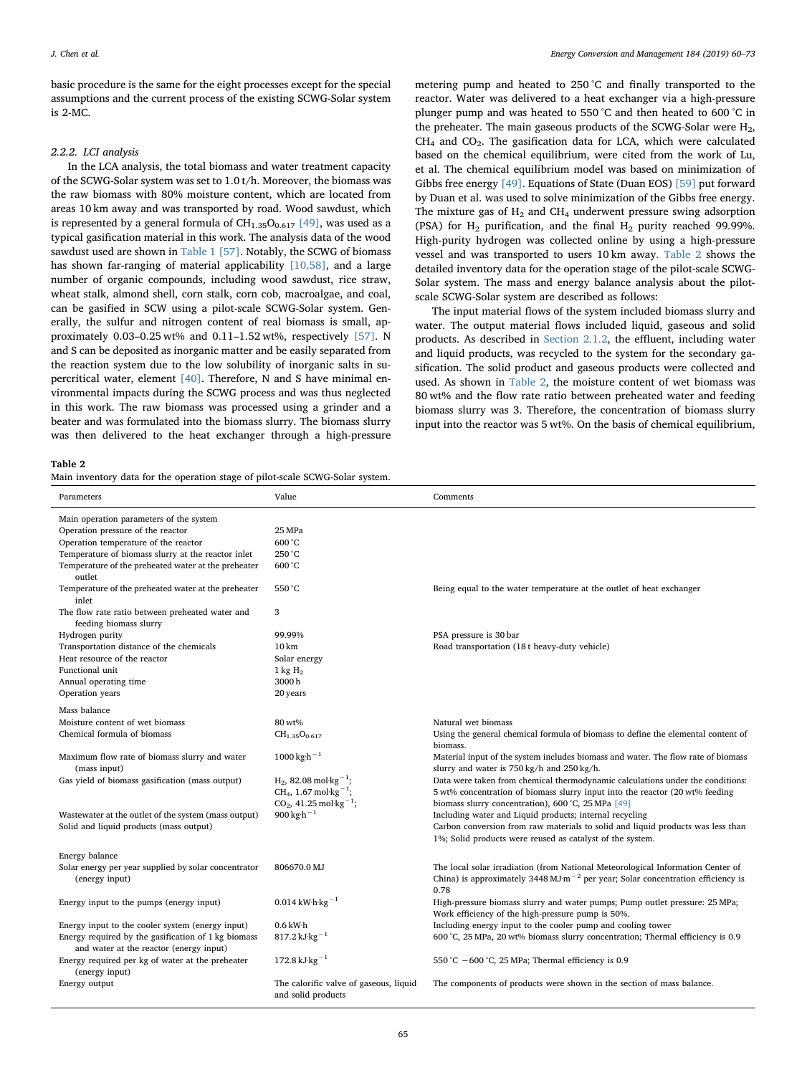basic procedure is the same for the eight processes except for the special assumptions and the current process of the existing SCWG-Solar system is 2-MC.

# <span id="page-5-0"></span>2.2.2. LCI analysis

In the LCA analysis, the total biomass and water treatment capacity of the SCWG-Solar system was set to 1.0 t/h. Moreover, the biomass was the raw biomass with 80% moisture content, which are located from areas 10 km away and was transported by road. Wood sawdust, which is represented by a general formula of  $CH_{1,35}O_{0.617}$  [\[49\]](#page-12-28), was used as a typical gasification material in this work. The analysis data of the wood sawdust used are shown in [Table 1](#page-4-1) [\[57\]](#page-13-3). Notably, the SCWG of biomass has shown far-ranging of material applicability [\[10,58\],](#page-12-3) and a large number of organic compounds, including wood sawdust, rice straw, wheat stalk, almond shell, corn stalk, corn cob, macroalgae, and coal, can be gasified in SCW using a pilot-scale SCWG-Solar system. Generally, the sulfur and nitrogen content of real biomass is small, approximately 0.03–0.25 wt% and 0.11–1.52 wt%, respectively [\[57\].](#page-13-3) N and S can be deposited as inorganic matter and be easily separated from the reaction system due to the low solubility of inorganic salts in supercritical water, element [\[40\].](#page-12-22) Therefore, N and S have minimal environmental impacts during the SCWG process and was thus neglected in this work. The raw biomass was processed using a grinder and a beater and was formulated into the biomass slurry. The biomass slurry was then delivered to the heat exchanger through a high-pressure

metering pump and heated to 250 °C and finally transported to the reactor. Water was delivered to a heat exchanger via a high-pressure plunger pump and was heated to 550 °C and then heated to 600 °C in the preheater. The main gaseous products of the SCWG-Solar were  $H_2$ ,  $CH<sub>4</sub>$  and  $CO<sub>2</sub>$ . The gasification data for LCA, which were calculated based on the chemical equilibrium, were cited from the work of Lu, et al. The chemical equilibrium model was based on minimization of Gibbs free energy [\[49\].](#page-12-28) Equations of State (Duan EOS) [\[59\]](#page-13-4) put forward by Duan et al. was used to solve minimization of the Gibbs free energy. The mixture gas of  $H_2$  and CH<sub>4</sub> underwent pressure swing adsorption (PSA) for  $H_2$  purification, and the final  $H_2$  purity reached 99.99%. High-purity hydrogen was collected online by using a high-pressure vessel and was transported to users 10 km away. [Table 2](#page-5-1) shows the detailed inventory data for the operation stage of the pilot-scale SCWG-Solar system. The mass and energy balance analysis about the pilotscale SCWG-Solar system are described as follows:

The input material flows of the system included biomass slurry and water. The output material flows included liquid, gaseous and solid products. As described in [Section 2.1.2,](#page-3-1) the effluent, including water and liquid products, was recycled to the system for the secondary gasification. The solid product and gaseous products were collected and used. As shown in [Table 2](#page-5-1), the moisture content of wet biomass was 80 wt% and the flow rate ratio between preheated water and feeding biomass slurry was 3. Therefore, the concentration of biomass slurry input into the reactor was 5 wt%. On the basis of chemical equilibrium,

#### <span id="page-5-1"></span>Table 2

Main inventory data for the operation stage of pilot-scale SCWG-Solar system.

| Parameters                                                                                     | Value                                                                                                 | Comments                                                                                                                                                                                                             |
|------------------------------------------------------------------------------------------------|-------------------------------------------------------------------------------------------------------|----------------------------------------------------------------------------------------------------------------------------------------------------------------------------------------------------------------------|
| Main operation parameters of the system                                                        |                                                                                                       |                                                                                                                                                                                                                      |
| Operation pressure of the reactor                                                              | 25 MPa                                                                                                |                                                                                                                                                                                                                      |
| Operation temperature of the reactor                                                           | 600 °C                                                                                                |                                                                                                                                                                                                                      |
| Temperature of biomass slurry at the reactor inlet                                             | 250 °C                                                                                                |                                                                                                                                                                                                                      |
| Temperature of the preheated water at the preheater<br>outlet                                  | 600 °C                                                                                                |                                                                                                                                                                                                                      |
| Temperature of the preheated water at the preheater<br>inlet                                   | 550 °C                                                                                                | Being equal to the water temperature at the outlet of heat exchanger                                                                                                                                                 |
| The flow rate ratio between preheated water and<br>feeding biomass slurry                      | 3                                                                                                     |                                                                                                                                                                                                                      |
| Hydrogen purity                                                                                | 99.99%                                                                                                | PSA pressure is 30 bar                                                                                                                                                                                               |
| Transportation distance of the chemicals                                                       | $10 \mathrm{km}$                                                                                      | Road transportation (18t heavy-duty vehicle)                                                                                                                                                                         |
| Heat resource of the reactor                                                                   | Solar energy                                                                                          |                                                                                                                                                                                                                      |
| Functional unit                                                                                | $1$ kg $H2$                                                                                           |                                                                                                                                                                                                                      |
| Annual operating time                                                                          | 3000h                                                                                                 |                                                                                                                                                                                                                      |
| Operation years                                                                                | 20 years                                                                                              |                                                                                                                                                                                                                      |
| Mass balance                                                                                   |                                                                                                       |                                                                                                                                                                                                                      |
| Moisture content of wet biomass                                                                | 80 wt%                                                                                                | Natural wet biomass                                                                                                                                                                                                  |
| Chemical formula of biomass                                                                    | $CH_{1.35}O_{0.617}$                                                                                  | Using the general chemical formula of biomass to define the elemental content of<br>biomass.                                                                                                                         |
| Maximum flow rate of biomass slurry and water<br>(mass input)                                  | $1000 \text{ kg} \cdot \text{h}^{-1}$                                                                 | Material input of the system includes biomass and water. The flow rate of biomass<br>slurry and water is 750 kg/h and 250 kg/h.                                                                                      |
| Gas yield of biomass gasification (mass output)                                                | $H_2$ , 82.08 mol·kg <sup>-1</sup> ;<br>$CH4, 1.67 mol·kg-1$<br>$CO_2$ , 41.25 mol·kg <sup>-1</sup> ; | Data were taken from chemical thermodynamic calculations under the conditions:<br>5 wt% concentration of biomass slurry input into the reactor (20 wt% feeding<br>biomass slurry concentration), 600 °C, 25 MPa [49] |
| Wastewater at the outlet of the system (mass output)                                           | 900 kg $\cdot h^{-1}$                                                                                 | Including water and Liquid products; internal recycling                                                                                                                                                              |
| Solid and liquid products (mass output)                                                        |                                                                                                       | Carbon conversion from raw materials to solid and liquid products was less than<br>1%; Solid products were reused as catalyst of the system.                                                                         |
| Energy balance                                                                                 |                                                                                                       |                                                                                                                                                                                                                      |
| Solar energy per year supplied by solar concentrator<br>(energy input)                         | 806670.0 MJ                                                                                           | The local solar irradiation (from National Meteorological Information Center of<br>China) is approximately 3448 MJ·m <sup>-2</sup> per year; Solar concentration efficiency is<br>0.78                               |
| Energy input to the pumps (energy input)                                                       | $0.014 \mathrm{kW} \cdot \mathrm{h} \cdot \mathrm{kg}^{-1}$                                           | High-pressure biomass slurry and water pumps; Pump outlet pressure: 25 MPa;<br>Work efficiency of the high-pressure pump is 50%.                                                                                     |
| Energy input to the cooler system (energy input)                                               | $0.6$ kW $\cdot$ h                                                                                    | Including energy input to the cooler pump and cooling tower                                                                                                                                                          |
| Energy required by the gasification of 1 kg biomass<br>and water at the reactor (energy input) | $817.2$ kJ·kg <sup>-1</sup>                                                                           | 600 °C, 25 MPa, 20 wt% biomass slurry concentration; Thermal efficiency is 0.9                                                                                                                                       |
| Energy required per kg of water at the preheater<br>(energy input)                             | $172.8 \text{ kJ·kg}^{-1}$                                                                            | 550 °C $-600$ °C, 25 MPa; Thermal efficiency is 0.9                                                                                                                                                                  |
| Energy output                                                                                  | The calorific valve of gaseous, liquid<br>and solid products                                          | The components of products were shown in the section of mass balance.                                                                                                                                                |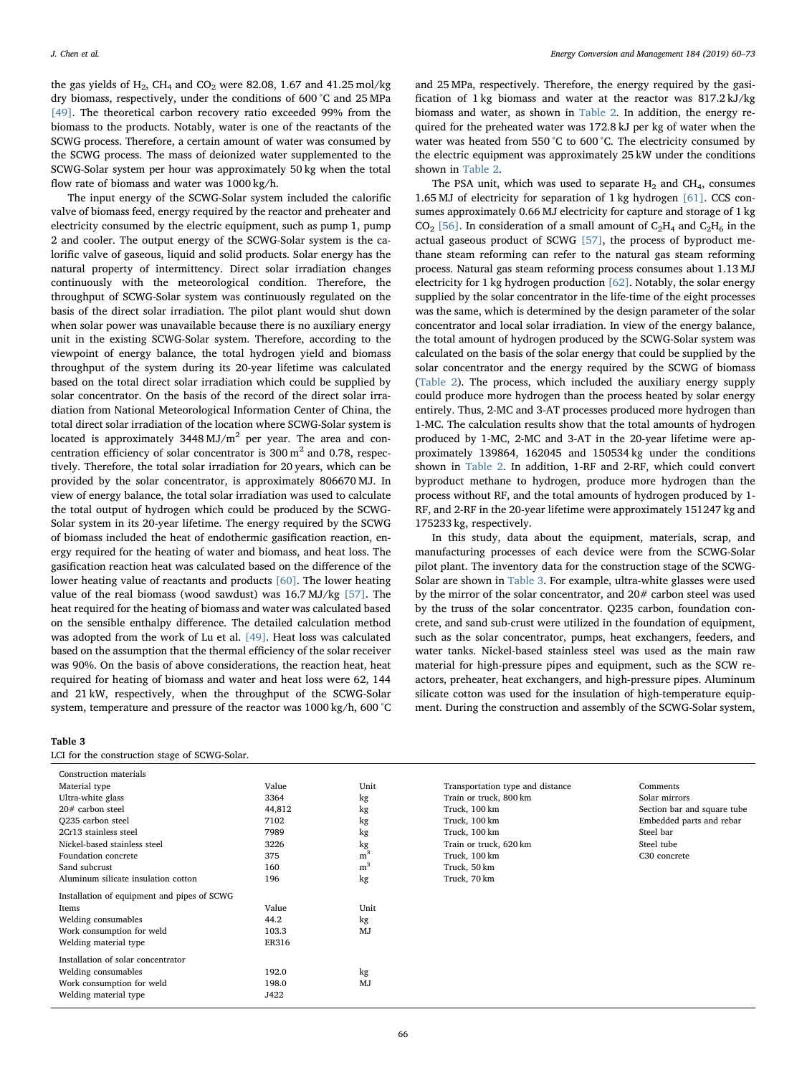the gas yields of  $H_2$ , CH<sub>4</sub> and CO<sub>2</sub> were 82.08, 1.67 and 41.25 mol/kg dry biomass, respectively, under the conditions of 600 °C and 25 MPa [\[49\]](#page-12-28). The theoretical carbon recovery ratio exceeded 99% from the biomass to the products. Notably, water is one of the reactants of the SCWG process. Therefore, a certain amount of water was consumed by the SCWG process. The mass of deionized water supplemented to the SCWG-Solar system per hour was approximately 50 kg when the total flow rate of biomass and water was 1000 kg/h.

The input energy of the SCWG-Solar system included the calorific valve of biomass feed, energy required by the reactor and preheater and electricity consumed by the electric equipment, such as pump 1, pump 2 and cooler. The output energy of the SCWG-Solar system is the calorific valve of gaseous, liquid and solid products. Solar energy has the natural property of intermittency. Direct solar irradiation changes continuously with the meteorological condition. Therefore, the throughput of SCWG-Solar system was continuously regulated on the basis of the direct solar irradiation. The pilot plant would shut down when solar power was unavailable because there is no auxiliary energy unit in the existing SCWG-Solar system. Therefore, according to the viewpoint of energy balance, the total hydrogen yield and biomass throughput of the system during its 20-year lifetime was calculated based on the total direct solar irradiation which could be supplied by solar concentrator. On the basis of the record of the direct solar irradiation from National Meteorological Information Center of China, the total direct solar irradiation of the location where SCWG-Solar system is located is approximately  $3448 \text{ MJ/m}^2$  per year. The area and concentration efficiency of solar concentrator is  $300 \text{ m}^2$  and 0.78, respectively. Therefore, the total solar irradiation for 20 years, which can be provided by the solar concentrator, is approximately 806670 MJ. In view of energy balance, the total solar irradiation was used to calculate the total output of hydrogen which could be produced by the SCWG-Solar system in its 20-year lifetime. The energy required by the SCWG of biomass included the heat of endothermic gasification reaction, energy required for the heating of water and biomass, and heat loss. The gasification reaction heat was calculated based on the difference of the lower heating value of reactants and products [\[60\]](#page-13-5). The lower heating value of the real biomass (wood sawdust) was 16.7 MJ/kg [\[57\].](#page-13-3) The heat required for the heating of biomass and water was calculated based on the sensible enthalpy difference. The detailed calculation method was adopted from the work of Lu et al. [\[49\].](#page-12-28) Heat loss was calculated based on the assumption that the thermal efficiency of the solar receiver was 90%. On the basis of above considerations, the reaction heat, heat required for heating of biomass and water and heat loss were 62, 144 and 21 kW, respectively, when the throughput of the SCWG-Solar system, temperature and pressure of the reactor was 1000 kg/h, 600 °C

#### <span id="page-6-0"></span>Table 3

LCI for the construction stage of SCWG-Solar.

| Construction materials                      |        |                |                                  |               |
|---------------------------------------------|--------|----------------|----------------------------------|---------------|
| Material type                               | Value  | Unit           | Transportation type and distance | Comments      |
| Ultra-white glass                           | 3364   | kg             | Train or truck, 800 km           | Solar mirrors |
| $20#$ carbon steel                          | 44,812 | kg             | Truck, 100 km                    | Section bar a |
| Q235 carbon steel                           | 7102   | kg             | Truck, 100 km                    | Embedded p    |
| 2Cr13 stainless steel                       | 7989   | kg             | Truck, 100 km                    | Steel bar     |
| Nickel-based stainless steel                | 3226   | kg             | Train or truck, 620 km           | Steel tube    |
| Foundation concrete                         | 375    | m <sup>3</sup> | Truck, 100 km                    | C30 concrete  |
| Sand subcrust                               | 160    | m <sup>3</sup> | Truck, 50 km                     |               |
| Aluminum silicate insulation cotton         | 196    | kg             | Truck, 70 km                     |               |
| Installation of equipment and pipes of SCWG |        |                |                                  |               |
| Items                                       | Value  | Unit           |                                  |               |
| Welding consumables                         | 44.2   | kg             |                                  |               |
| Work consumption for weld                   | 103.3  | MJ             |                                  |               |
| Welding material type                       | ER316  |                |                                  |               |
| Installation of solar concentrator          |        |                |                                  |               |
| Welding consumables                         | 192.0  | kg             |                                  |               |
| Work consumption for weld                   | 198.0  | MJ             |                                  |               |
| Welding material type                       | J422   |                |                                  |               |

and 25 MPa, respectively. Therefore, the energy required by the gasification of 1 kg biomass and water at the reactor was 817.2 kJ/kg biomass and water, as shown in [Table 2](#page-5-1). In addition, the energy required for the preheated water was 172.8 kJ per kg of water when the water was heated from 550 °C to 600 °C. The electricity consumed by the electric equipment was approximately 25 kW under the conditions shown in [Table 2](#page-5-1).

The PSA unit, which was used to separate  $H_2$  and CH<sub>4</sub>, consumes 1.65 MJ of electricity for separation of 1 kg hydrogen [\[61\].](#page-13-6) CCS consumes approximately 0.66 MJ electricity for capture and storage of 1 kg  $CO<sub>2</sub>$  [\[56\]](#page-13-1). In consideration of a small amount of  $C<sub>2</sub>H<sub>4</sub>$  and  $C<sub>2</sub>H<sub>6</sub>$  in the actual gaseous product of SCWG [\[57\],](#page-13-3) the process of byproduct methane steam reforming can refer to the natural gas steam reforming process. Natural gas steam reforming process consumes about 1.13 MJ electricity for 1 kg hydrogen production [\[62\].](#page-13-7) Notably, the solar energy supplied by the solar concentrator in the life-time of the eight processes was the same, which is determined by the design parameter of the solar concentrator and local solar irradiation. In view of the energy balance, the total amount of hydrogen produced by the SCWG-Solar system was calculated on the basis of the solar energy that could be supplied by the solar concentrator and the energy required by the SCWG of biomass ([Table 2\)](#page-5-1). The process, which included the auxiliary energy supply could produce more hydrogen than the process heated by solar energy entirely. Thus, 2-MC and 3-AT processes produced more hydrogen than 1-MC. The calculation results show that the total amounts of hydrogen produced by 1-MC, 2-MC and 3-AT in the 20-year lifetime were approximately 139864, 162045 and 150534 kg under the conditions shown in [Table 2](#page-5-1). In addition, 1-RF and 2-RF, which could convert byproduct methane to hydrogen, produce more hydrogen than the process without RF, and the total amounts of hydrogen produced by 1- RF, and 2-RF in the 20-year lifetime were approximately 151247 kg and 175233 kg, respectively.

In this study, data about the equipment, materials, scrap, and manufacturing processes of each device were from the SCWG-Solar pilot plant. The inventory data for the construction stage of the SCWG-Solar are shown in [Table 3](#page-6-0). For example, ultra-white glasses were used by the mirror of the solar concentrator, and 20# carbon steel was used by the truss of the solar concentrator. Q235 carbon, foundation concrete, and sand sub-crust were utilized in the foundation of equipment, such as the solar concentrator, pumps, heat exchangers, feeders, and water tanks. Nickel-based stainless steel was used as the main raw material for high-pressure pipes and equipment, such as the SCW reactors, preheater, heat exchangers, and high-pressure pipes. Aluminum silicate cotton was used for the insulation of high-temperature equipment. During the construction and assembly of the SCWG-Solar system,

it Transportation type and distance Comments Train or truck, 800 km Solar mirrors 20 Truck, 100 km Section bar and square tube<br>20 Truck, 100 km Section bar and square tube Train or truck, 620 km Steel tube

Embedded parts and rebar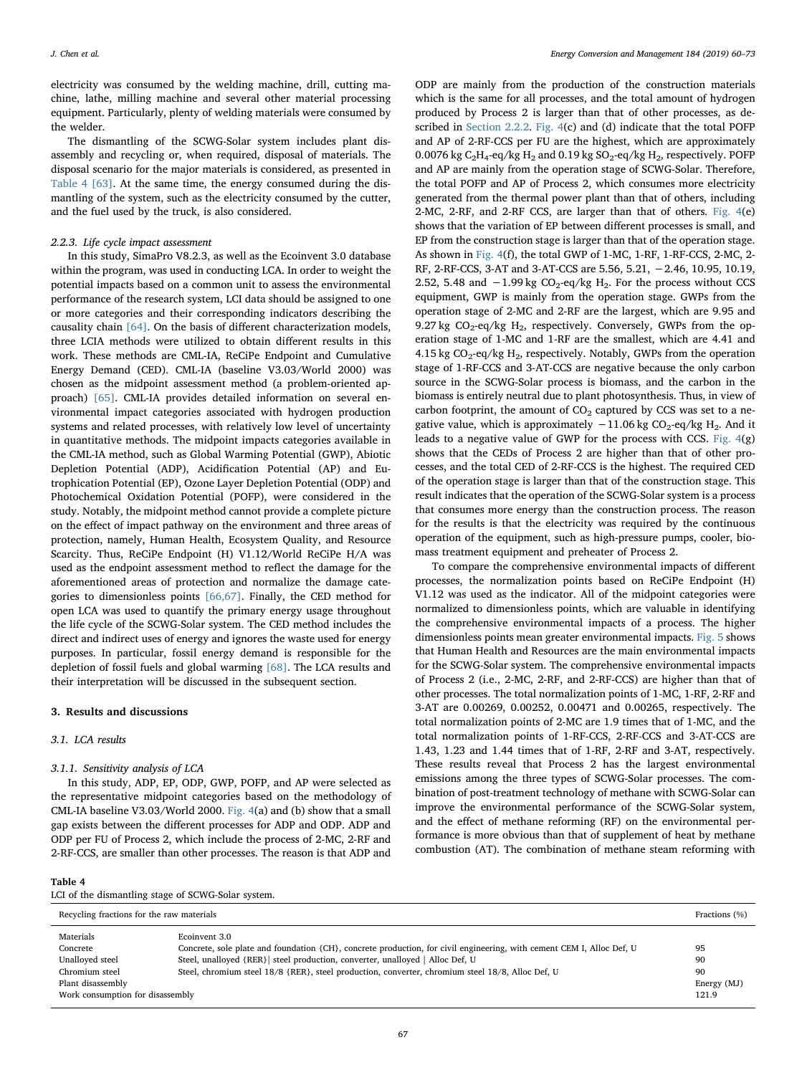electricity was consumed by the welding machine, drill, cutting machine, lathe, milling machine and several other material processing equipment. Particularly, plenty of welding materials were consumed by the welder.

The dismantling of the SCWG-Solar system includes plant disassembly and recycling or, when required, disposal of materials. The disposal scenario for the major materials is considered, as presented in [Table 4](#page-7-0) [\[63\]](#page-13-8). At the same time, the energy consumed during the dismantling of the system, such as the electricity consumed by the cutter, and the fuel used by the truck, is also considered.

#### 2.2.3. Life cycle impact assessment

In this study, SimaPro V8.2.3, as well as the Ecoinvent 3.0 database within the program, was used in conducting LCA. In order to weight the potential impacts based on a common unit to assess the environmental performance of the research system, LCI data should be assigned to one or more categories and their corresponding indicators describing the causality chain [\[64\].](#page-13-9) On the basis of different characterization models, three LCIA methods were utilized to obtain different results in this work. These methods are CML-IA, ReCiPe Endpoint and Cumulative Energy Demand (CED). CML-IA (baseline V3.03/World 2000) was chosen as the midpoint assessment method (a problem-oriented approach) [\[65\].](#page-13-10) CML-IA provides detailed information on several environmental impact categories associated with hydrogen production systems and related processes, with relatively low level of uncertainty in quantitative methods. The midpoint impacts categories available in the CML-IA method, such as Global Warming Potential (GWP), Abiotic Depletion Potential (ADP), Acidification Potential (AP) and Eutrophication Potential (EP), Ozone Layer Depletion Potential (ODP) and Photochemical Oxidation Potential (POFP), were considered in the study. Notably, the midpoint method cannot provide a complete picture on the effect of impact pathway on the environment and three areas of protection, namely, Human Health, Ecosystem Quality, and Resource Scarcity. Thus, ReCiPe Endpoint (H) V1.12/World ReCiPe H/A was used as the endpoint assessment method to reflect the damage for the aforementioned areas of protection and normalize the damage categories to dimensionless points [\[66,67\]](#page-13-11). Finally, the CED method for open LCA was used to quantify the primary energy usage throughout the life cycle of the SCWG-Solar system. The CED method includes the direct and indirect uses of energy and ignores the waste used for energy purposes. In particular, fossil energy demand is responsible for the depletion of fossil fuels and global warming [\[68\]](#page-13-12). The LCA results and their interpretation will be discussed in the subsequent section.

#### 3. Results and discussions

#### 3.1. LCA results

# 3.1.1. Sensitivity analysis of LCA

In this study, ADP, EP, ODP, GWP, POFP, and AP were selected as the representative midpoint categories based on the methodology of CML-IA baseline V3.03/World 2000. [Fig. 4\(](#page-8-0)a) and (b) show that a small gap exists between the different processes for ADP and ODP. ADP and ODP per FU of Process 2, which include the process of 2-MC, 2-RF and 2-RF-CCS, are smaller than other processes. The reason is that ADP and

# <span id="page-7-0"></span>Table 4

| LCI of the dismantling stage of SCWG-Solar system. |  |
|----------------------------------------------------|--|
|----------------------------------------------------|--|

ODP are mainly from the production of the construction materials which is the same for all processes, and the total amount of hydrogen produced by Process 2 is larger than that of other processes, as described in [Section 2.2.2.](#page-5-0) [Fig. 4](#page-8-0)(c) and (d) indicate that the total POFP and AP of 2-RF-CCS per FU are the highest, which are approximately 0.0076 kg  $C_2H_4$ -eq/kg  $H_2$  and 0.19 kg  $SO_2$ -eq/kg  $H_2$ , respectively. POFP and AP are mainly from the operation stage of SCWG-Solar. Therefore, the total POFP and AP of Process 2, which consumes more electricity generated from the thermal power plant than that of others, including 2-MC, 2-RF, and 2-RF CCS, are larger than that of others. [Fig. 4\(](#page-8-0)e) shows that the variation of EP between different processes is small, and EP from the construction stage is larger than that of the operation stage. As shown in [Fig. 4](#page-8-0)(f), the total GWP of 1-MC, 1-RF, 1-RF-CCS, 2-MC, 2- RF, 2-RF-CCS, 3-AT and 3-AT-CCS are 5.56, 5.21, −2.46, 10.95, 10.19, 2.52, 5.48 and  $-1.99$  kg CO<sub>2</sub>-eq/kg H<sub>2</sub>. For the process without CCS equipment, GWP is mainly from the operation stage. GWPs from the operation stage of 2-MC and 2-RF are the largest, which are 9.95 and 9.27 kg  $CO_2$ -eq/kg  $H_2$ , respectively. Conversely, GWPs from the operation stage of 1-MC and 1-RF are the smallest, which are 4.41 and 4.15 kg  $CO_2$ -eq/kg  $H_2$ , respectively. Notably, GWPs from the operation stage of 1-RF-CCS and 3-AT-CCS are negative because the only carbon source in the SCWG-Solar process is biomass, and the carbon in the biomass is entirely neutral due to plant photosynthesis. Thus, in view of carbon footprint, the amount of  $CO<sub>2</sub>$  captured by CCS was set to a negative value, which is approximately  $-11.06$  kg CO<sub>2</sub>-eq/kg H<sub>2</sub>. And it leads to a negative value of GWP for the process with CCS. [Fig. 4](#page-8-0)(g) shows that the CEDs of Process 2 are higher than that of other processes, and the total CED of 2-RF-CCS is the highest. The required CED of the operation stage is larger than that of the construction stage. This result indicates that the operation of the SCWG-Solar system is a process that consumes more energy than the construction process. The reason for the results is that the electricity was required by the continuous operation of the equipment, such as high-pressure pumps, cooler, biomass treatment equipment and preheater of Process 2.

To compare the comprehensive environmental impacts of different processes, the normalization points based on ReCiPe Endpoint (H) V1.12 was used as the indicator. All of the midpoint categories were normalized to dimensionless points, which are valuable in identifying the comprehensive environmental impacts of a process. The higher dimensionless points mean greater environmental impacts. [Fig. 5](#page-9-0) shows that Human Health and Resources are the main environmental impacts for the SCWG-Solar system. The comprehensive environmental impacts of Process 2 (i.e., 2-MC, 2-RF, and 2-RF-CCS) are higher than that of other processes. The total normalization points of 1-MC, 1-RF, 2-RF and 3-AT are 0.00269, 0.00252, 0.00471 and 0.00265, respectively. The total normalization points of 2-MC are 1.9 times that of 1-MC, and the total normalization points of 1-RF-CCS, 2-RF-CCS and 3-AT-CCS are 1.43, 1.23 and 1.44 times that of 1-RF, 2-RF and 3-AT, respectively. These results reveal that Process 2 has the largest environmental emissions among the three types of SCWG-Solar processes. The combination of post-treatment technology of methane with SCWG-Solar can improve the environmental performance of the SCWG-Solar system, and the effect of methane reforming (RF) on the environmental performance is more obvious than that of supplement of heat by methane combustion (AT). The combination of methane steam reforming with

| Recycling fractions for the raw materials                                                                           |                                                                                                                                                                                                                                                                                                                            | Fractions (%)                          |
|---------------------------------------------------------------------------------------------------------------------|----------------------------------------------------------------------------------------------------------------------------------------------------------------------------------------------------------------------------------------------------------------------------------------------------------------------------|----------------------------------------|
| Materials<br>Concrete<br>Unalloyed steel<br>Chromium steel<br>Plant disassembly<br>Work consumption for disassembly | Ecoinvent 3.0<br>Concrete, sole plate and foundation {CH}, concrete production, for civil engineering, with cement CEM I, Alloc Def, U<br>Steel, unalloyed {RER} steel production, converter, unalloyed   Alloc Def, U<br>Steel, chromium steel 18/8 {RER}, steel production, converter, chromium steel 18/8, Alloc Def, U | 95<br>90<br>90<br>Energy (MJ)<br>121.9 |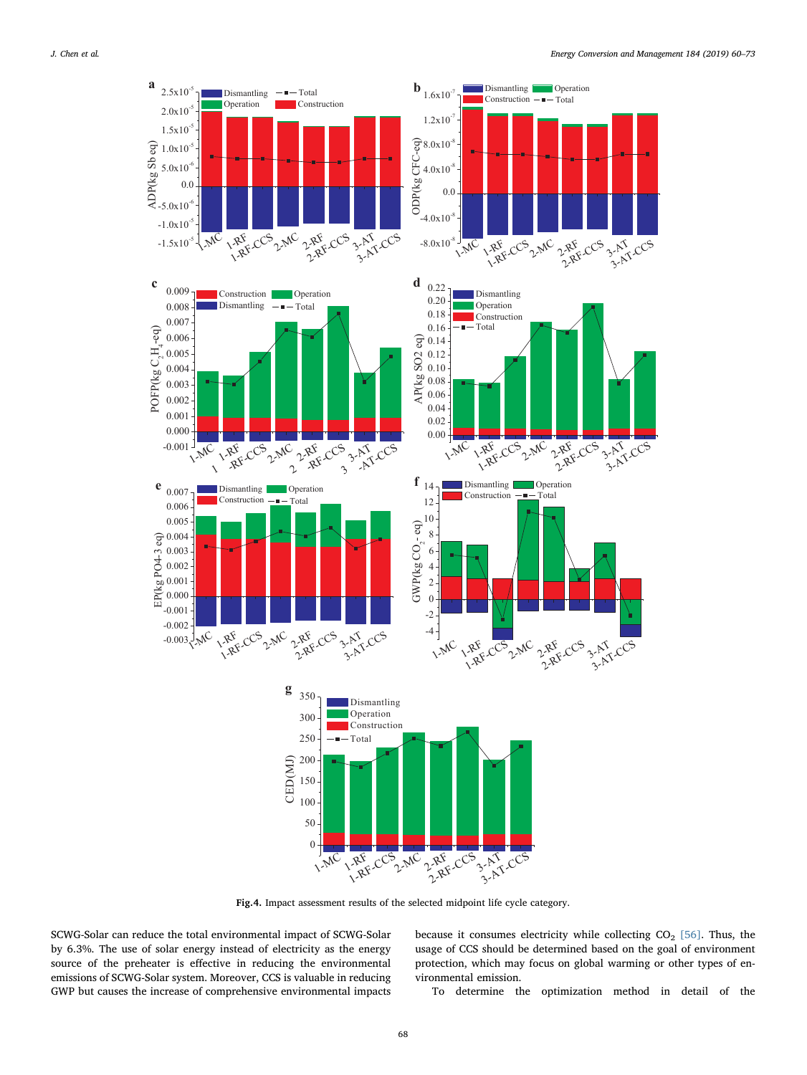<span id="page-8-0"></span>

Fig.4. Impact assessment results of the selected midpoint life cycle category.

SCWG-Solar can reduce the total environmental impact of SCWG-Solar by 6.3%. The use of solar energy instead of electricity as the energy source of the preheater is effective in reducing the environmental emissions of SCWG-Solar system. Moreover, CCS is valuable in reducing GWP but causes the increase of comprehensive environmental impacts because it consumes electricity while collecting  $CO<sub>2</sub>$  [\[56\].](#page-13-1) Thus, the usage of CCS should be determined based on the goal of environment protection, which may focus on global warming or other types of environmental emission.

To determine the optimization method in detail of the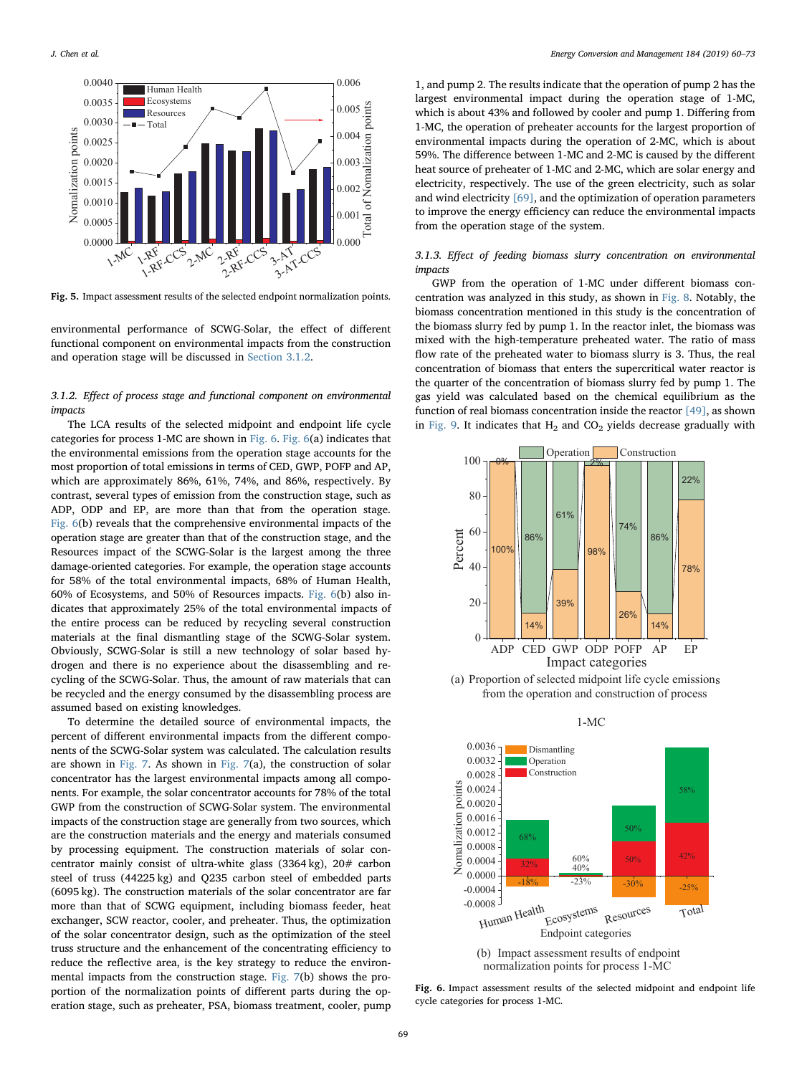<span id="page-9-0"></span>

Fig. 5. Impact assessment results of the selected endpoint normalization points.

environmental performance of SCWG-Solar, the effect of different functional component on environmental impacts from the construction and operation stage will be discussed in [Section 3.1.2](#page-9-1).

# <span id="page-9-1"></span>3.1.2. Effect of process stage and functional component on environmental impacts

The LCA results of the selected midpoint and endpoint life cycle categories for process 1-MC are shown in [Fig. 6](#page-9-2). [Fig. 6\(](#page-9-2)a) indicates that the environmental emissions from the operation stage accounts for the most proportion of total emissions in terms of CED, GWP, POFP and AP, which are approximately 86%, 61%, 74%, and 86%, respectively. By contrast, several types of emission from the construction stage, such as ADP, ODP and EP, are more than that from the operation stage. [Fig. 6\(](#page-9-2)b) reveals that the comprehensive environmental impacts of the operation stage are greater than that of the construction stage, and the Resources impact of the SCWG-Solar is the largest among the three damage-oriented categories. For example, the operation stage accounts for 58% of the total environmental impacts, 68% of Human Health, 60% of Ecosystems, and 50% of Resources impacts. [Fig. 6\(](#page-9-2)b) also indicates that approximately 25% of the total environmental impacts of the entire process can be reduced by recycling several construction materials at the final dismantling stage of the SCWG-Solar system. Obviously, SCWG-Solar is still a new technology of solar based hydrogen and there is no experience about the disassembling and recycling of the SCWG-Solar. Thus, the amount of raw materials that can be recycled and the energy consumed by the disassembling process are assumed based on existing knowledges.

To determine the detailed source of environmental impacts, the percent of different environmental impacts from the different components of the SCWG-Solar system was calculated. The calculation results are shown in [Fig. 7](#page-10-0). As shown in [Fig. 7](#page-10-0)(a), the construction of solar concentrator has the largest environmental impacts among all components. For example, the solar concentrator accounts for 78% of the total GWP from the construction of SCWG-Solar system. The environmental impacts of the construction stage are generally from two sources, which are the construction materials and the energy and materials consumed by processing equipment. The construction materials of solar concentrator mainly consist of ultra-white glass (3364 kg), 20# carbon steel of truss (44225 kg) and Q235 carbon steel of embedded parts (6095 kg). The construction materials of the solar concentrator are far more than that of SCWG equipment, including biomass feeder, heat exchanger, SCW reactor, cooler, and preheater. Thus, the optimization of the solar concentrator design, such as the optimization of the steel truss structure and the enhancement of the concentrating efficiency to reduce the reflective area, is the key strategy to reduce the environmental impacts from the construction stage. [Fig. 7](#page-10-0)(b) shows the proportion of the normalization points of different parts during the operation stage, such as preheater, PSA, biomass treatment, cooler, pump

1, and pump 2. The results indicate that the operation of pump 2 has the largest environmental impact during the operation stage of 1-MC, which is about 43% and followed by cooler and pump 1. Differing from 1-MC, the operation of preheater accounts for the largest proportion of environmental impacts during the operation of 2-MC, which is about 59%. The difference between 1-MC and 2-MC is caused by the different heat source of preheater of 1-MC and 2-MC, which are solar energy and electricity, respectively. The use of the green electricity, such as solar and wind electricity [\[69\]](#page-13-13), and the optimization of operation parameters to improve the energy efficiency can reduce the environmental impacts from the operation stage of the system.

# 3.1.3. Effect of feeding biomass slurry concentration on environmental impacts

GWP from the operation of 1-MC under different biomass concentration was analyzed in this study, as shown in [Fig. 8.](#page-10-1) Notably, the biomass concentration mentioned in this study is the concentration of the biomass slurry fed by pump 1. In the reactor inlet, the biomass was mixed with the high-temperature preheated water. The ratio of mass flow rate of the preheated water to biomass slurry is 3. Thus, the real concentration of biomass that enters the supercritical water reactor is the quarter of the concentration of biomass slurry fed by pump 1. The gas yield was calculated based on the chemical equilibrium as the function of real biomass concentration inside the reactor [\[49\],](#page-12-28) as shown in [Fig. 9](#page-10-2). It indicates that  $H_2$  and  $CO_2$  yields decrease gradually with

<span id="page-9-2"></span>

(a) Proportion of selected midpoint life cycle emission from the operation and construction of process

1-MC



normalization points for process 1-MC

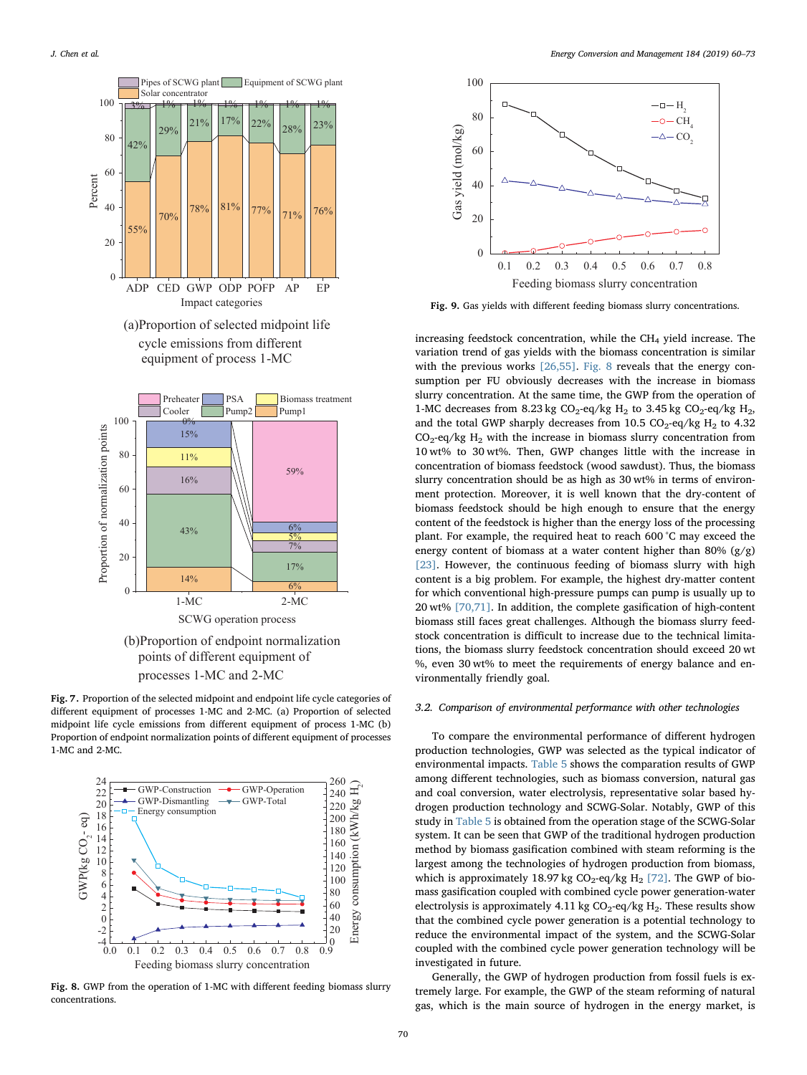<span id="page-10-0"></span>



Fig. 7. Proportion of the selected midpoint and endpoint life cycle categories of different equipment of processes 1-MC and 2-MC. (a) Proportion of selected midpoint life cycle emissions from different equipment of process 1-MC (b) Proportion of endpoint normalization points of different equipment of processes 1-MC and 2-MC.

<span id="page-10-1"></span>

Fig. 8. GWP from the operation of 1-MC with different feeding biomass slurry concentrations.

<span id="page-10-2"></span>

Fig. 9. Gas yields with different feeding biomass slurry concentrations.

increasing feedstock concentration, while the  $CH<sub>4</sub>$  yield increase. The variation trend of gas yields with the biomass concentration is similar with the previous works [\[26,55\]](#page-12-31). [Fig. 8](#page-10-1) reveals that the energy consumption per FU obviously decreases with the increase in biomass slurry concentration. At the same time, the GWP from the operation of 1-MC decreases from 8.23 kg  $CO_2$ -eq/kg H<sub>2</sub> to 3.45 kg  $CO_2$ -eq/kg H<sub>2</sub>, and the total GWP sharply decreases from 10.5  $CO_2$ -eq/kg H<sub>2</sub> to 4.32  $CO<sub>2</sub>$ -eq/kg H<sub>2</sub> with the increase in biomass slurry concentration from 10 wt% to 30 wt%. Then, GWP changes little with the increase in concentration of biomass feedstock (wood sawdust). Thus, the biomass slurry concentration should be as high as 30 wt% in terms of environment protection. Moreover, it is well known that the dry-content of biomass feedstock should be high enough to ensure that the energy content of the feedstock is higher than the energy loss of the processing plant. For example, the required heat to reach 600 °C may exceed the energy content of biomass at a water content higher than 80% (g/g) [\[23\]](#page-12-10). However, the continuous feeding of biomass slurry with high content is a big problem. For example, the highest dry-matter content for which conventional high-pressure pumps can pump is usually up to 20 wt% [\[70,71\]](#page-13-14). In addition, the complete gasification of high-content biomass still faces great challenges. Although the biomass slurry feedstock concentration is difficult to increase due to the technical limitations, the biomass slurry feedstock concentration should exceed 20 wt %, even 30 wt% to meet the requirements of energy balance and environmentally friendly goal.

# 3.2. Comparison of environmental performance with other technologies

To compare the environmental performance of different hydrogen production technologies, GWP was selected as the typical indicator of environmental impacts. [Table 5](#page-11-0) shows the comparation results of GWP among different technologies, such as biomass conversion, natural gas and coal conversion, water electrolysis, representative solar based hydrogen production technology and SCWG-Solar. Notably, GWP of this study in [Table 5](#page-11-0) is obtained from the operation stage of the SCWG-Solar system. It can be seen that GWP of the traditional hydrogen production method by biomass gasification combined with steam reforming is the largest among the technologies of hydrogen production from biomass, which is approximately 18.97 kg  $CO_2$ -eq/kg H<sub>2</sub> [\[72\]](#page-13-15). The GWP of biomass gasification coupled with combined cycle power generation-water electrolysis is approximately 4.11 kg  $CO_2$ -eq/kg H<sub>2</sub>. These results show that the combined cycle power generation is a potential technology to reduce the environmental impact of the system, and the SCWG-Solar coupled with the combined cycle power generation technology will be investigated in future.

Generally, the GWP of hydrogen production from fossil fuels is extremely large. For example, the GWP of the steam reforming of natural gas, which is the main source of hydrogen in the energy market, is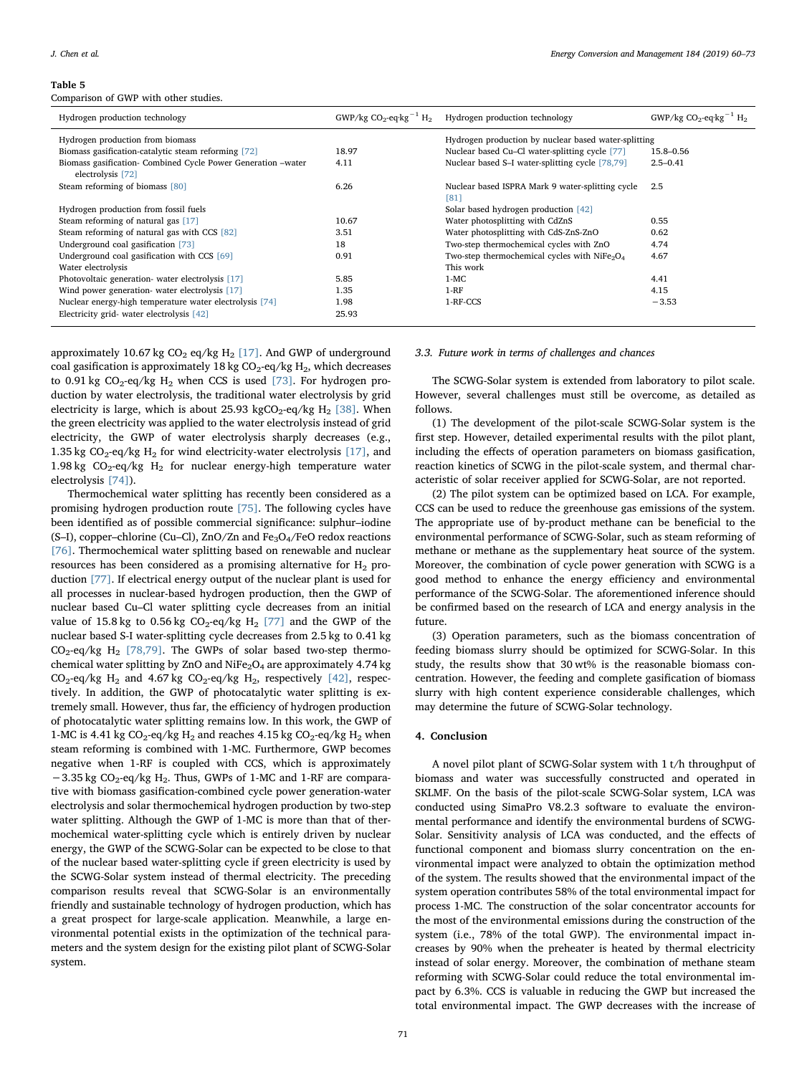#### <span id="page-11-0"></span>Table 5

Comparison of GWP with other studies.

| Hydrogen production technology                                                    | $GWP/kg CO_2$ -eq·kg <sup>-1</sup> H <sub>2</sub> | Hydrogen production technology                                       | GWP/kg $CO_2$ -eq·kg <sup>-1</sup> H <sub>2</sub> |  |
|-----------------------------------------------------------------------------------|---------------------------------------------------|----------------------------------------------------------------------|---------------------------------------------------|--|
| Hydrogen production from biomass                                                  |                                                   | Hydrogen production by nuclear based water-splitting                 |                                                   |  |
| Biomass gasification-catalytic steam reforming [72]                               | 18.97                                             | Nuclear based Cu-Cl water-splitting cycle [77]                       | 15.8-0.56                                         |  |
| Biomass gasification- Combined Cycle Power Generation -water<br>electrolysis [72] | 4.11                                              | Nuclear based S-I water-splitting cycle [78,79]                      | $2.5 - 0.41$                                      |  |
| Steam reforming of biomass [80]                                                   | 6.26                                              | Nuclear based ISPRA Mark 9 water-splitting cycle<br>[81]             | 2.5                                               |  |
| Hydrogen production from fossil fuels                                             |                                                   | Solar based hydrogen production [42]                                 |                                                   |  |
| Steam reforming of natural gas [17]                                               | 10.67                                             | Water photosplitting with CdZnS                                      | 0.55                                              |  |
| Steam reforming of natural gas with CCS [82]                                      | 3.51                                              | Water photosplitting with CdS-ZnS-ZnO                                | 0.62                                              |  |
| Underground coal gasification [73]                                                | 18                                                | Two-step thermochemical cycles with ZnO                              | 4.74                                              |  |
| Underground coal gasification with CCS [69]                                       | 0.91                                              | Two-step thermochemical cycles with NiFe <sub>2</sub> O <sub>4</sub> | 4.67                                              |  |
| Water electrolysis                                                                |                                                   | This work                                                            |                                                   |  |
| Photovoltaic generation- water electrolysis [17]                                  | 5.85                                              | $1-MC$                                                               | 4.41                                              |  |
| Wind power generation- water electrolysis [17]                                    | 1.35                                              | $1-RF$                                                               | 4.15                                              |  |
| Nuclear energy-high temperature water electrolysis [74]                           | 1.98                                              | 1-RF-CCS                                                             | $-3.53$                                           |  |
| Electricity grid- water electrolysis [42]                                         | 25.93                                             |                                                                      |                                                   |  |

approximately 10.67 kg  $CO<sub>2</sub>$  eq/kg H<sub>2</sub> [\[17\]](#page-12-6). And GWP of underground coal gasification is approximately 18 kg CO<sub>2</sub>-eq/kg H<sub>2</sub>, which decreases to 0.91 kg  $CO_2$ -eq/kg H<sub>2</sub> when CCS is used [\[73\]](#page-13-16). For hydrogen production by water electrolysis, the traditional water electrolysis by grid electricity is large, which is about 25.93 kgCO<sub>2</sub>-eq/kg H<sub>2</sub> [\[38\]](#page-12-21). When the green electricity was applied to the water electrolysis instead of grid electricity, the GWP of water electrolysis sharply decreases (e.g., 1.35 kg  $CO_2$ -eq/kg  $H_2$  for wind electricity-water electrolysis [\[17\],](#page-12-6) and 1.98 kg  $CO_2$ -eq/kg  $H_2$  for nuclear energy-high temperature water electrolysis [\[74\]](#page-13-17)).

Thermochemical water splitting has recently been considered as a promising hydrogen production route [\[75\].](#page-13-18) The following cycles have been identified as of possible commercial significance: sulphur–iodine (S–I), copper–chlorine (Cu–Cl),  $ZnO/Zn$  and  $Fe<sub>3</sub>O<sub>4</sub>/FeO$  redox reactions [\[76\]](#page-13-19). Thermochemical water splitting based on renewable and nuclear resources has been considered as a promising alternative for  $H_2$  production [\[77\]](#page-13-20). If electrical energy output of the nuclear plant is used for all processes in nuclear-based hydrogen production, then the GWP of nuclear based Cu–Cl water splitting cycle decreases from an initial value of 15.8 kg to 0.56 kg  $CO_2$ -eq/kg  $H_2$  [\[77\]](#page-13-20) and the GWP of the nuclear based S-I water-splitting cycle decreases from 2.5 kg to 0.41 kg  $CO_2$ -eq/kg H<sub>2</sub> [\[78,79\].](#page-13-21) The GWPs of solar based two-step thermochemical water splitting by ZnO and NiFe<sub>2</sub>O<sub>4</sub> are approximately 4.74 kg  $CO_2$ -eq/kg H<sub>2</sub> and 4.67 kg  $CO_2$ -eq/kg H<sub>2</sub>, respectively [\[42\],](#page-12-23) respectively. In addition, the GWP of photocatalytic water splitting is extremely small. However, thus far, the efficiency of hydrogen production of photocatalytic water splitting remains low. In this work, the GWP of 1-MC is 4.41 kg  $CO_2$ -eq/kg H<sub>2</sub> and reaches 4.15 kg  $CO_2$ -eq/kg H<sub>2</sub> when steam reforming is combined with 1-MC. Furthermore, GWP becomes negative when 1-RF is coupled with CCS, which is approximately −3.35 kg CO2-eq/kg H2. Thus, GWPs of 1-MC and 1-RF are comparative with biomass gasification-combined cycle power generation-water electrolysis and solar thermochemical hydrogen production by two-step water splitting. Although the GWP of 1-MC is more than that of thermochemical water-splitting cycle which is entirely driven by nuclear energy, the GWP of the SCWG-Solar can be expected to be close to that of the nuclear based water-splitting cycle if green electricity is used by the SCWG-Solar system instead of thermal electricity. The preceding comparison results reveal that SCWG-Solar is an environmentally friendly and sustainable technology of hydrogen production, which has a great prospect for large-scale application. Meanwhile, a large environmental potential exists in the optimization of the technical parameters and the system design for the existing pilot plant of SCWG-Solar system.

#### 3.3. Future work in terms of challenges and chances

The SCWG-Solar system is extended from laboratory to pilot scale. However, several challenges must still be overcome, as detailed as follows.

(1) The development of the pilot-scale SCWG-Solar system is the first step. However, detailed experimental results with the pilot plant, including the effects of operation parameters on biomass gasification, reaction kinetics of SCWG in the pilot-scale system, and thermal characteristic of solar receiver applied for SCWG-Solar, are not reported.

(2) The pilot system can be optimized based on LCA. For example, CCS can be used to reduce the greenhouse gas emissions of the system. The appropriate use of by-product methane can be beneficial to the environmental performance of SCWG-Solar, such as steam reforming of methane or methane as the supplementary heat source of the system. Moreover, the combination of cycle power generation with SCWG is a good method to enhance the energy efficiency and environmental performance of the SCWG-Solar. The aforementioned inference should be confirmed based on the research of LCA and energy analysis in the future.

(3) Operation parameters, such as the biomass concentration of feeding biomass slurry should be optimized for SCWG-Solar. In this study, the results show that 30 wt% is the reasonable biomass concentration. However, the feeding and complete gasification of biomass slurry with high content experience considerable challenges, which may determine the future of SCWG-Solar technology.

#### 4. Conclusion

A novel pilot plant of SCWG-Solar system with 1 t/h throughput of biomass and water was successfully constructed and operated in SKLMF. On the basis of the pilot-scale SCWG-Solar system, LCA was conducted using SimaPro V8.2.3 software to evaluate the environmental performance and identify the environmental burdens of SCWG-Solar. Sensitivity analysis of LCA was conducted, and the effects of functional component and biomass slurry concentration on the environmental impact were analyzed to obtain the optimization method of the system. The results showed that the environmental impact of the system operation contributes 58% of the total environmental impact for process 1-MC. The construction of the solar concentrator accounts for the most of the environmental emissions during the construction of the system (i.e., 78% of the total GWP). The environmental impact increases by 90% when the preheater is heated by thermal electricity instead of solar energy. Moreover, the combination of methane steam reforming with SCWG-Solar could reduce the total environmental impact by 6.3%. CCS is valuable in reducing the GWP but increased the total environmental impact. The GWP decreases with the increase of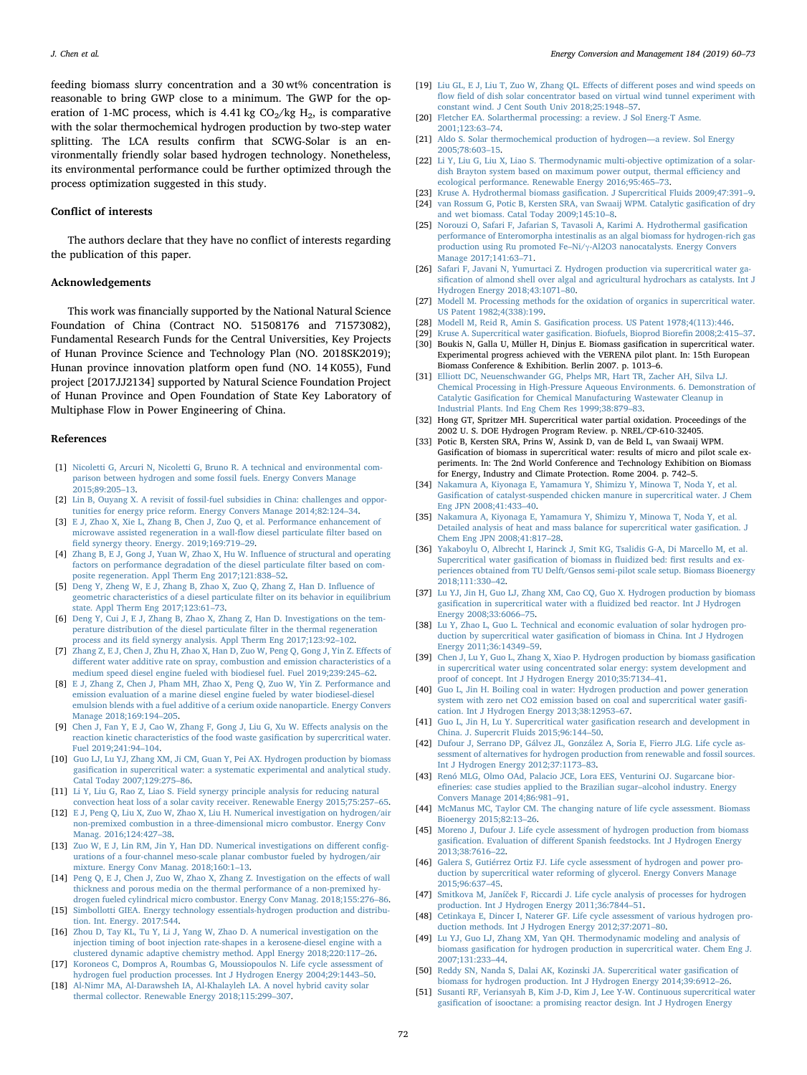feeding biomass slurry concentration and a 30 wt% concentration is reasonable to bring GWP close to a minimum. The GWP for the operation of 1-MC process, which is 4.41 kg  $CO<sub>2</sub>/kg H<sub>2</sub>$ , is comparative with the solar thermochemical hydrogen production by two-step water splitting. The LCA results confirm that SCWG-Solar is an environmentally friendly solar based hydrogen technology. Nonetheless, its environmental performance could be further optimized through the process optimization suggested in this study.

# Conflict of interests

The authors declare that they have no conflict of interests regarding the publication of this paper.

# Acknowledgements

This work was financially supported by the National Natural Science Foundation of China (Contract NO. 51508176 and 71573082), Fundamental Research Funds for the Central Universities, Key Projects of Hunan Province Science and Technology Plan (NO. 2018SK2019); Hunan province innovation platform open fund (NO. 14 K055), Fund project [2017JJ2134] supported by Natural Science Foundation Project of Hunan Province and Open Foundation of State Key Laboratory of Multiphase Flow in Power Engineering of China.

#### References

- <span id="page-12-0"></span>[1] [Nicoletti G, Arcuri N, Nicoletti G, Bruno R. A technical and environmental com](http://refhub.elsevier.com/S0196-8904(19)30087-1/h0005)[parison between hydrogen and some fossil fuels. Energy Convers Manage](http://refhub.elsevier.com/S0196-8904(19)30087-1/h0005) [2015;89:205](http://refhub.elsevier.com/S0196-8904(19)30087-1/h0005)–13.
- [2] [Lin B, Ouyang X. A revisit of fossil-fuel subsidies in China: challenges and oppor](http://refhub.elsevier.com/S0196-8904(19)30087-1/h0010)[tunities for energy price reform. Energy Convers Manage 2014;82:124](http://refhub.elsevier.com/S0196-8904(19)30087-1/h0010)–34.
- <span id="page-12-1"></span>[3] [E J, Zhao X, Xie L, Zhang B, Chen J, Zuo Q, et al. Performance enhancement of](http://refhub.elsevier.com/S0196-8904(19)30087-1/h0015) [microwave assisted regeneration in a wall-](http://refhub.elsevier.com/S0196-8904(19)30087-1/h0015)flow diesel particulate filter based on fi[eld synergy theory. Energy. 2019;169:719](http://refhub.elsevier.com/S0196-8904(19)30087-1/h0015)–29.
- [4] [Zhang B, E J, Gong J, Yuan W, Zhao X, Hu W. In](http://refhub.elsevier.com/S0196-8904(19)30087-1/h0020)fluence of structural and operating [factors on performance degradation of the diesel particulate](http://refhub.elsevier.com/S0196-8904(19)30087-1/h0020) filter based on com[posite regeneration. Appl Therm Eng 2017;121:838](http://refhub.elsevier.com/S0196-8904(19)30087-1/h0020)–52.
- [5] [Deng Y, Zheng W, E J, Zhang B, Zhao X, Zuo Q, Zhang Z, Han D. In](http://refhub.elsevier.com/S0196-8904(19)30087-1/h0025)fluence of [geometric characteristics of a diesel particulate](http://refhub.elsevier.com/S0196-8904(19)30087-1/h0025) filter on its behavior in equilibrium [state. Appl Therm Eng 2017;123:61](http://refhub.elsevier.com/S0196-8904(19)30087-1/h0025)–73.
- [6] [Deng Y, Cui J, E J, Zhang B, Zhao X, Zhang Z, Han D. Investigations on the tem](http://refhub.elsevier.com/S0196-8904(19)30087-1/h0030)[perature distribution of the diesel particulate](http://refhub.elsevier.com/S0196-8904(19)30087-1/h0030) filter in the thermal regeneration process and its fi[eld synergy analysis. Appl Therm Eng 2017;123:92](http://refhub.elsevier.com/S0196-8904(19)30087-1/h0030)–102.
- <span id="page-12-2"></span>[7] [Zhang Z, E J, Chen J, Zhu H, Zhao X, Han D, Zuo W, Peng Q, Gong J, Yin Z. E](http://refhub.elsevier.com/S0196-8904(19)30087-1/h0035)ffects of diff[erent water additive rate on spray, combustion and emission characteristics of a](http://refhub.elsevier.com/S0196-8904(19)30087-1/h0035) [medium speed diesel engine fueled with biodiesel fuel. Fuel 2019;239:245](http://refhub.elsevier.com/S0196-8904(19)30087-1/h0035)–62.
- [8] [E J, Zhang Z, Chen J, Pham MH, Zhao X, Peng Q, Zuo W, Yin Z. Performance and](http://refhub.elsevier.com/S0196-8904(19)30087-1/h0040) [emission evaluation of a marine diesel engine fueled by water biodiesel-diesel](http://refhub.elsevier.com/S0196-8904(19)30087-1/h0040) [emulsion blends with a fuel additive of a cerium oxide nanoparticle. Energy Convers](http://refhub.elsevier.com/S0196-8904(19)30087-1/h0040) [Manage 2018;169:194](http://refhub.elsevier.com/S0196-8904(19)30087-1/h0040)–205.
- [9] [Chen J, Fan Y, E J, Cao W, Zhang F, Gong J, Liu G, Xu W. E](http://refhub.elsevier.com/S0196-8904(19)30087-1/h0045)ffects analysis on the [reaction kinetic characteristics of the food waste gasi](http://refhub.elsevier.com/S0196-8904(19)30087-1/h0045)fication by supercritical water. [Fuel 2019;241:94](http://refhub.elsevier.com/S0196-8904(19)30087-1/h0045)–104.
- <span id="page-12-3"></span>[10] [Guo LJ, Lu YJ, Zhang XM, Ji CM, Guan Y, Pei AX. Hydrogen production by biomass](http://refhub.elsevier.com/S0196-8904(19)30087-1/h0050) gasifi[cation in supercritical water: a systematic experimental and analytical study.](http://refhub.elsevier.com/S0196-8904(19)30087-1/h0050) [Catal Today 2007;129:275](http://refhub.elsevier.com/S0196-8904(19)30087-1/h0050)–86.
- [11] [Li Y, Liu G, Rao Z, Liao S. Field synergy principle analysis for reducing natural](http://refhub.elsevier.com/S0196-8904(19)30087-1/h0055) [convection heat loss of a solar cavity receiver. Renewable Energy 2015;75:257](http://refhub.elsevier.com/S0196-8904(19)30087-1/h0055)–65.
- <span id="page-12-4"></span>[12] E [J, Peng Q, Liu X, Zuo W, Zhao X, Liu H. Numerical investigation on hydrogen/air](http://refhub.elsevier.com/S0196-8904(19)30087-1/h0060) [non-premixed combustion in a three-dimensional micro combustor. Energy Conv](http://refhub.elsevier.com/S0196-8904(19)30087-1/h0060) [Manag. 2016;124:427](http://refhub.elsevier.com/S0196-8904(19)30087-1/h0060)–38.
- [13] [Zuo W, E J, Lin RM, Jin Y, Han DD. Numerical investigations on di](http://refhub.elsevier.com/S0196-8904(19)30087-1/h0065)fferent config[urations of a four-channel meso-scale planar combustor fueled by hydrogen/air](http://refhub.elsevier.com/S0196-8904(19)30087-1/h0065) [mixture. Energy Conv Manag. 2018;160:1](http://refhub.elsevier.com/S0196-8904(19)30087-1/h0065)–13.
- [14] [Peng Q, E J, Chen J, Zuo W, Zhao X, Zhang Z. Investigation on the e](http://refhub.elsevier.com/S0196-8904(19)30087-1/h0070)ffects of wall [thickness and porous media on the thermal performance of a non-premixed hy](http://refhub.elsevier.com/S0196-8904(19)30087-1/h0070)[drogen fueled cylindrical micro combustor. Energy Conv Manag. 2018;155:276](http://refhub.elsevier.com/S0196-8904(19)30087-1/h0070)–86.
- <span id="page-12-5"></span>[15] [Simbollotti GIEA. Energy technology essentials-hydrogen production and distribu](http://refhub.elsevier.com/S0196-8904(19)30087-1/h0075)[tion. Int. Energy. 2017:544.](http://refhub.elsevier.com/S0196-8904(19)30087-1/h0075)
- [16] [Zhou D, Tay KL, Tu Y, Li J, Yang W, Zhao D. A numerical investigation on the](http://refhub.elsevier.com/S0196-8904(19)30087-1/h0080) [injection timing of boot injection rate-shapes in a kerosene-diesel engine with a](http://refhub.elsevier.com/S0196-8904(19)30087-1/h0080) [clustered dynamic adaptive chemistry method. Appl Energy 2018;220:117](http://refhub.elsevier.com/S0196-8904(19)30087-1/h0080)–26.
- <span id="page-12-6"></span>[17] [Koroneos C, Dompros A, Roumbas G, Moussiopoulos N. Life cycle assessment of](http://refhub.elsevier.com/S0196-8904(19)30087-1/h0085) [hydrogen fuel production processes. Int J Hydrogen Energy 2004;29:1443](http://refhub.elsevier.com/S0196-8904(19)30087-1/h0085)–50. [18] [Al-Nimr MA, Al-Darawsheh IA, Al-Khalayleh LA. A novel hybrid cavity solar](http://refhub.elsevier.com/S0196-8904(19)30087-1/h0090)
- <span id="page-12-7"></span>[thermal collector. Renewable Energy 2018;115:299](http://refhub.elsevier.com/S0196-8904(19)30087-1/h0090)–307.
- [19] [Liu GL, E J, Liu T, Zuo W, Zhang QL. E](http://refhub.elsevier.com/S0196-8904(19)30087-1/h0095)ffects of different poses and wind speeds on flow fi[eld of dish solar concentrator based on virtual wind tunnel experiment with](http://refhub.elsevier.com/S0196-8904(19)30087-1/h0095) [constant wind. J Cent South Univ 2018;25:1948](http://refhub.elsevier.com/S0196-8904(19)30087-1/h0095)–57.
- <span id="page-12-8"></span>[20] [Fletcher EA. Solarthermal processing: a review. J Sol Energ-T Asme.](http://refhub.elsevier.com/S0196-8904(19)30087-1/h0100) [2001;123:63](http://refhub.elsevier.com/S0196-8904(19)30087-1/h0100)–74.
- [21] [Aldo S. Solar thermochemical production of hydrogen](http://refhub.elsevier.com/S0196-8904(19)30087-1/h0105)—a review. Sol Energy [2005;78:603](http://refhub.elsevier.com/S0196-8904(19)30087-1/h0105)–15.
- <span id="page-12-9"></span>[22] [Li Y, Liu G, Liu X, Liao S. Thermodynamic multi-objective optimization of a solar](http://refhub.elsevier.com/S0196-8904(19)30087-1/h0110)[dish Brayton system based on maximum power output, thermal e](http://refhub.elsevier.com/S0196-8904(19)30087-1/h0110)fficiency and [ecological performance. Renewable Energy 2016;95:465](http://refhub.elsevier.com/S0196-8904(19)30087-1/h0110)–73.
- <span id="page-12-13"></span><span id="page-12-10"></span>[23] Kruse A. Hydrothermal biomass gasifi[cation. J Supercritical Fluids 2009;47:391](http://refhub.elsevier.com/S0196-8904(19)30087-1/h0115)–9. [24] [van Rossum G, Potic B, Kersten SRA, van Swaaij WPM. Catalytic gasi](http://refhub.elsevier.com/S0196-8904(19)30087-1/h0120)fication of dry
- <span id="page-12-11"></span>[and wet biomass. Catal Today 2009;145:10](http://refhub.elsevier.com/S0196-8904(19)30087-1/h0120)–8. [25] Norouzi [O, Safari F, Jafarian S, Tavasoli A, Karimi A. Hydrothermal gasi](http://refhub.elsevier.com/S0196-8904(19)30087-1/h0125)fication
- [performance of Enteromorpha intestinalis as an algal biomass for hydrogen-rich gas](http://refhub.elsevier.com/S0196-8904(19)30087-1/h0125) production using Ru promoted Fe–Ni/γ[-Al2O3 nanocatalysts. Energy Convers](http://refhub.elsevier.com/S0196-8904(19)30087-1/h0125) .<br>Manage 2017:141:63-71.
- <span id="page-12-31"></span>[26] [Safari F, Javani N, Yumurtaci Z. Hydrogen production via supercritical water ga](http://refhub.elsevier.com/S0196-8904(19)30087-1/h0130)sifi[cation of almond shell over algal and agricultural hydrochars as catalysts. Int J](http://refhub.elsevier.com/S0196-8904(19)30087-1/h0130) [Hydrogen Energy 2018;43:1071](http://refhub.elsevier.com/S0196-8904(19)30087-1/h0130)–80.
- <span id="page-12-12"></span>[27] [Modell M. Processing methods for the oxidation of organics in supercritical water.](http://refhub.elsevier.com/S0196-8904(19)30087-1/h0135) [US Patent 1982;4\(338\):199.](http://refhub.elsevier.com/S0196-8904(19)30087-1/h0135)
- [28] Modell M, Reid R, Amin S. Gasifi[cation process. US Patent 1978;4\(113\):446.](http://refhub.elsevier.com/S0196-8904(19)30087-1/h0140)
- <span id="page-12-14"></span>[29] [Kruse A. Supercritical water gasi](http://refhub.elsevier.com/S0196-8904(19)30087-1/h0145)fication. Biofuels, Bioprod Biorefin 2008;2:415–37. [30] Boukis N, Galla U, Müller H, Dinjus E. Biomass gasification in supercritical water. Experimental progress achieved with the VERENA pilot plant. In: 15th European Biomass Conference & Exhibition. Berlin 2007. p. 1013–6.
- <span id="page-12-15"></span>[31] [Elliott DC, Neuenschwander GG, Phelps MR, Hart TR, Zacher AH, Silva LJ.](http://refhub.elsevier.com/S0196-8904(19)30087-1/h0155) [Chemical Processing in High-Pressure Aqueous Environments. 6. Demonstration of](http://refhub.elsevier.com/S0196-8904(19)30087-1/h0155) Catalytic Gasifi[cation for Chemical Manufacturing Wastewater Cleanup in](http://refhub.elsevier.com/S0196-8904(19)30087-1/h0155) [Industrial Plants. Ind Eng Chem Res 1999;38:879](http://refhub.elsevier.com/S0196-8904(19)30087-1/h0155)–83.
- <span id="page-12-16"></span>[32] Hong GT, Spritzer MH. Supercritical water partial oxidation. Proceedings of the 2002 U. S. DOE Hydrogen Program Review. p. NREL/CP-610-32405.
- <span id="page-12-17"></span>[33] Potic B, Kersten SRA, Prins W, Assink D, van de Beld L, van Swaaij WPM. Gasification of biomass in supercritical water: results of micro and pilot scale experiments. In: The 2nd World Conference and Technology Exhibition on Biomass for Energy, Industry and Climate Protection. Rome 2004. p. 742–5.
- <span id="page-12-18"></span>[34] [Nakamura A, Kiyonaga E, Yamamura Y, Shimizu Y, Minowa T, Noda Y, et al.](http://refhub.elsevier.com/S0196-8904(19)30087-1/h0170) Gasifi[cation of catalyst-suspended chicken manure in supercritical water. J Chem](http://refhub.elsevier.com/S0196-8904(19)30087-1/h0170) [Eng JPN 2008;41:433](http://refhub.elsevier.com/S0196-8904(19)30087-1/h0170)–40.
- [35] [Nakamura A, Kiyonaga E, Yamamura Y, Shimizu Y, Minowa T, Noda Y, et al.](http://refhub.elsevier.com/S0196-8904(19)30087-1/h0175) [Detailed analysis of heat and mass balance for supercritical water gasi](http://refhub.elsevier.com/S0196-8904(19)30087-1/h0175)fication. J [Chem Eng JPN 2008;41:817](http://refhub.elsevier.com/S0196-8904(19)30087-1/h0175)–28.
- <span id="page-12-19"></span>[36] [Yakaboylu O, Albrecht I, Harinck J, Smit KG, Tsalidis G-A, Di Marcello M, et al.](http://refhub.elsevier.com/S0196-8904(19)30087-1/h0180) [Supercritical water gasi](http://refhub.elsevier.com/S0196-8904(19)30087-1/h0180)fication of biomass in fluidized bed: first results and ex[periences obtained from TU Delft/Gensos semi-pilot scale setup. Biomass Bioenergy](http://refhub.elsevier.com/S0196-8904(19)30087-1/h0180) [2018;111:330](http://refhub.elsevier.com/S0196-8904(19)30087-1/h0180)–42.
- <span id="page-12-20"></span>[37] Lu [YJ, Jin H, Guo LJ, Zhang XM, Cao CQ, Guo X. Hydrogen production by biomass](http://refhub.elsevier.com/S0196-8904(19)30087-1/h0185) gasification in supercritical water with a fl[uidized bed reactor. Int J Hydrogen](http://refhub.elsevier.com/S0196-8904(19)30087-1/h0185) [Energy 2008;33:6066](http://refhub.elsevier.com/S0196-8904(19)30087-1/h0185)–75.
- <span id="page-12-21"></span>[38] [Lu Y, Zhao L, Guo L. Technical and economic evaluation of solar hydrogen pro](http://refhub.elsevier.com/S0196-8904(19)30087-1/h0190)duction by supercritical water gasifi[cation of biomass in China. Int J Hydrogen](http://refhub.elsevier.com/S0196-8904(19)30087-1/h0190) [Energy 2011;36:14349](http://refhub.elsevier.com/S0196-8904(19)30087-1/h0190)–59.
- [39] [Chen J, Lu Y, Guo L, Zhang X, Xiao P. Hydrogen production by biomass gasi](http://refhub.elsevier.com/S0196-8904(19)30087-1/h0195)fication [in supercritical water using concentrated solar energy: system development and](http://refhub.elsevier.com/S0196-8904(19)30087-1/h0195) [proof of concept. Int J Hydrogen Energy 2010;35:7134](http://refhub.elsevier.com/S0196-8904(19)30087-1/h0195)–41.
- <span id="page-12-22"></span>[40] [Guo L, Jin H. Boiling coal in water: Hydrogen production and power generation](http://refhub.elsevier.com/S0196-8904(19)30087-1/h0200) [system with zero net CO2 emission based on coal and supercritical water gasi](http://refhub.elsevier.com/S0196-8904(19)30087-1/h0200)fi[cation. Int J Hydrogen Energy 2013;38:12953](http://refhub.elsevier.com/S0196-8904(19)30087-1/h0200)–67.
- [41] [Guo L, Jin H, Lu Y. Supercritical water gasi](http://refhub.elsevier.com/S0196-8904(19)30087-1/h0205)fication research and development in [China. J. Supercrit Fluids 2015;96:144](http://refhub.elsevier.com/S0196-8904(19)30087-1/h0205)–50.
- <span id="page-12-23"></span>[42] [Dufour J, Serrano DP, Gálvez JL, González A, Soria E, Fierro JLG. Life cycle as](http://refhub.elsevier.com/S0196-8904(19)30087-1/h0210)[sessment of alternatives for hydrogen production from renewable and fossil sources.](http://refhub.elsevier.com/S0196-8904(19)30087-1/h0210) [Int J Hydrogen Energy 2012;37:1173](http://refhub.elsevier.com/S0196-8904(19)30087-1/h0210)–83.
- <span id="page-12-24"></span>[43] [Renó MLG, Olmo OAd, Palacio JCE, Lora EES, Venturini OJ. Sugarcane bior](http://refhub.elsevier.com/S0196-8904(19)30087-1/h0215)efi[neries: case studies applied to the Brazilian sugar](http://refhub.elsevier.com/S0196-8904(19)30087-1/h0215)–alcohol industry. Energy [Convers Manage 2014;86:981](http://refhub.elsevier.com/S0196-8904(19)30087-1/h0215)–91.
- [44] [McManus MC, Taylor CM. The changing nature of life cycle assessment. Biomass](http://refhub.elsevier.com/S0196-8904(19)30087-1/h0220) [Bioenergy 2015;82:13](http://refhub.elsevier.com/S0196-8904(19)30087-1/h0220)–26.
- <span id="page-12-25"></span>[45] [Moreno J, Dufour J. Life cycle assessment of hydrogen production from biomass](http://refhub.elsevier.com/S0196-8904(19)30087-1/h0225) gasification. Evaluation of diff[erent Spanish feedstocks. Int J Hydrogen Energy](http://refhub.elsevier.com/S0196-8904(19)30087-1/h0225) [2013;38:7616](http://refhub.elsevier.com/S0196-8904(19)30087-1/h0225)–22.
- <span id="page-12-26"></span>[46] [Galera S, Gutiérrez Ortiz FJ. Life cycle assessment of hydrogen and power pro](http://refhub.elsevier.com/S0196-8904(19)30087-1/h0230)[duction by supercritical water reforming of glycerol. Energy Convers Manage](http://refhub.elsevier.com/S0196-8904(19)30087-1/h0230) [2015;96:637](http://refhub.elsevier.com/S0196-8904(19)30087-1/h0230)–45.
- <span id="page-12-27"></span>[47] Smitkova M, Janíč[ek F, Riccardi J. Life cycle analysis of processes for hydrogen](http://refhub.elsevier.com/S0196-8904(19)30087-1/h0235) [production. Int J Hydrogen Energy 2011;36:7844](http://refhub.elsevier.com/S0196-8904(19)30087-1/h0235)–51.
- [48] [Cetinkaya E, Dincer I, Naterer GF. Life cycle assessment of various hydrogen pro](http://refhub.elsevier.com/S0196-8904(19)30087-1/h0240)[duction methods. Int J Hydrogen Energy 2012;37:2071](http://refhub.elsevier.com/S0196-8904(19)30087-1/h0240)–80.
- <span id="page-12-28"></span>[49] Lu [YJ, Guo LJ, Zhang XM, Yan QH. Thermodynamic modeling and analysis of](http://refhub.elsevier.com/S0196-8904(19)30087-1/h0245) biomass gasifi[cation for hydrogen production in supercritical water. Chem Eng J.](http://refhub.elsevier.com/S0196-8904(19)30087-1/h0245) [2007;131:233](http://refhub.elsevier.com/S0196-8904(19)30087-1/h0245)–44.
- <span id="page-12-29"></span>[50] [Reddy SN, Nanda S, Dalai AK, Kozinski JA. Supercritical water gasi](http://refhub.elsevier.com/S0196-8904(19)30087-1/h0250)fication of [biomass for hydrogen production. Int J Hydrogen Energy 2014;39:6912](http://refhub.elsevier.com/S0196-8904(19)30087-1/h0250)–26.
- <span id="page-12-30"></span>[51] [Susanti RF, Veriansyah B, Kim J-D, Kim J, Lee Y-W. Continuous supercritical water](http://refhub.elsevier.com/S0196-8904(19)30087-1/h0255) gasifi[cation of isooctane: a promising reactor design. Int J Hydrogen Energy](http://refhub.elsevier.com/S0196-8904(19)30087-1/h0255)